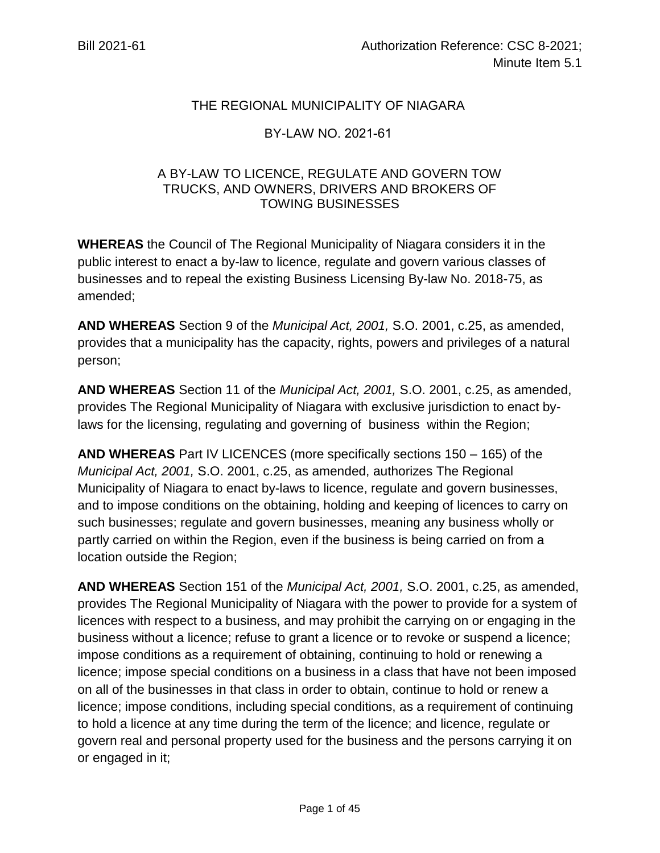# THE REGIONAL MUNICIPALITY OF NIAGARA

## BY-LAW NO. 2021-61

## A BY-LAW TO LICENCE, REGULATE AND GOVERN TOW TRUCKS, AND OWNERS, DRIVERS AND BROKERS OF TOWING BUSINESSES

**WHEREAS** the Council of The Regional Municipality of Niagara considers it in the public interest to enact a by-law to licence, regulate and govern various classes of businesses and to repeal the existing Business Licensing By-law No. 2018-75, as amended;

**AND WHEREAS** Section 9 of the *Municipal Act, 2001,* S.O. 2001, c.25, as amended, provides that a municipality has the capacity, rights, powers and privileges of a natural person;

**AND WHEREAS** Section 11 of the *Municipal Act, 2001,* S.O. 2001, c.25, as amended, provides The Regional Municipality of Niagara with exclusive jurisdiction to enact bylaws for the licensing, regulating and governing of business within the Region;

**AND WHEREAS** Part IV LICENCES (more specifically sections 150 – 165) of the *Municipal Act, 2001,* S.O. 2001, c.25, as amended, authorizes The Regional Municipality of Niagara to enact by-laws to licence, regulate and govern businesses, and to impose conditions on the obtaining, holding and keeping of licences to carry on such businesses; regulate and govern businesses, meaning any business wholly or partly carried on within the Region, even if the business is being carried on from a location outside the Region;

**AND WHEREAS** Section 151 of the *Municipal Act, 2001,* S.O. 2001, c.25, as amended, provides The Regional Municipality of Niagara with the power to provide for a system of licences with respect to a business, and may prohibit the carrying on or engaging in the business without a licence; refuse to grant a licence or to revoke or suspend a licence; impose conditions as a requirement of obtaining, continuing to hold or renewing a licence; impose special conditions on a business in a class that have not been imposed on all of the businesses in that class in order to obtain, continue to hold or renew a licence; impose conditions, including special conditions, as a requirement of continuing to hold a licence at any time during the term of the licence; and licence, regulate or govern real and personal property used for the business and the persons carrying it on or engaged in it;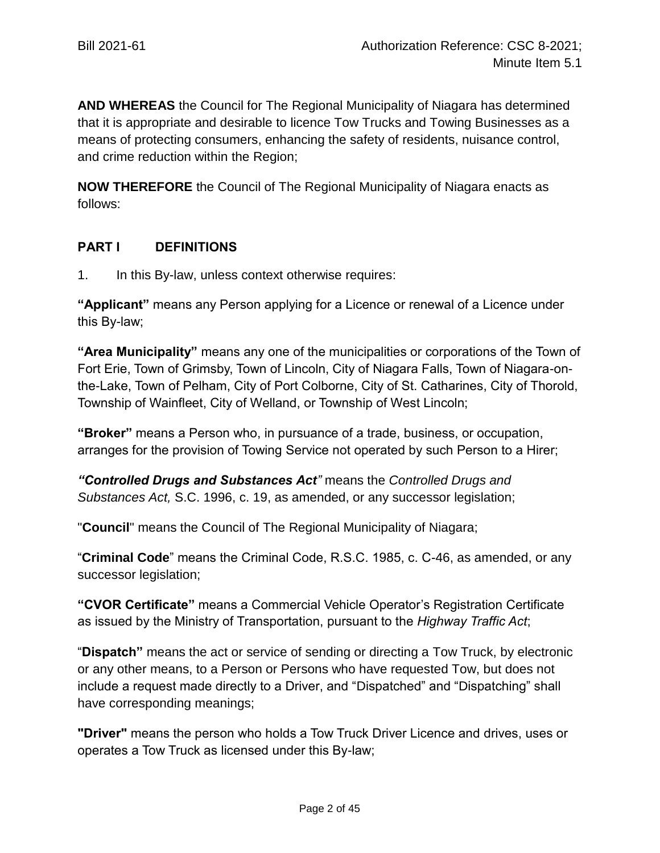**AND WHEREAS** the Council for The Regional Municipality of Niagara has determined that it is appropriate and desirable to licence Tow Trucks and Towing Businesses as a means of protecting consumers, enhancing the safety of residents, nuisance control, and crime reduction within the Region;

**NOW THEREFORE** the Council of The Regional Municipality of Niagara enacts as follows:

# **PART I DEFINITIONS**

1. In this By-law, unless context otherwise requires:

**"Applicant"** means any Person applying for a Licence or renewal of a Licence under this By-law;

**"Area Municipality"** means any one of the municipalities or corporations of the Town of Fort Erie, Town of Grimsby, Town of Lincoln, City of Niagara Falls, Town of Niagara-onthe-Lake, Town of Pelham, City of Port Colborne, City of St. Catharines, City of Thorold, Township of Wainfleet, City of Welland, or Township of West Lincoln;

**"Broker"** means a Person who, in pursuance of a trade, business, or occupation, arranges for the provision of Towing Service not operated by such Person to a Hirer;

*"Controlled Drugs and Substances Act"* means the *Controlled Drugs and Substances Act,* S.C. 1996, c. 19, as amended, or any successor legislation;

"**Council**" means the Council of The Regional Municipality of Niagara;

"**Criminal Code**" means the Criminal Code, R.S.C. 1985, c. C-46, as amended, or any successor legislation;

**"CVOR Certificate"** means a Commercial Vehicle Operator's Registration Certificate as issued by the Ministry of Transportation, pursuant to the *Highway Traffic Act*;

"**Dispatch"** means the act or service of sending or directing a Tow Truck, by electronic or any other means, to a Person or Persons who have requested Tow, but does not include a request made directly to a Driver, and "Dispatched" and "Dispatching" shall have corresponding meanings;

**"Driver"** means the person who holds a Tow Truck Driver Licence and drives, uses or operates a Tow Truck as licensed under this By-law;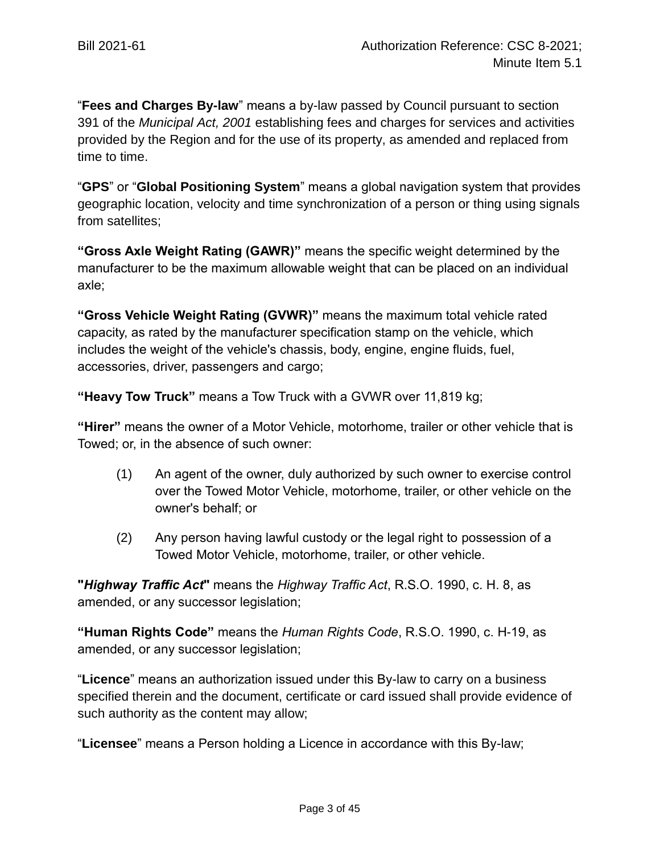"**Fees and Charges By-law**" means a by-law passed by Council pursuant to section 391 of the *Municipal Act, 2001* establishing fees and charges for services and activities provided by the Region and for the use of its property, as amended and replaced from time to time.

"**GPS**" or "**Global Positioning System**" means a global navigation system that provides geographic location, velocity and time synchronization of a person or thing using signals from satellites;

**"Gross Axle Weight Rating (GAWR)"** means the specific weight determined by the manufacturer to be the maximum allowable weight that can be placed on an individual axle;

**"Gross Vehicle Weight Rating (GVWR)"** means the maximum total vehicle rated capacity, as rated by the manufacturer specification stamp on the vehicle, which includes the weight of the vehicle's chassis, body, engine, engine fluids, fuel, accessories, driver, passengers and cargo;

**"Heavy Tow Truck"** means a Tow Truck with a GVWR over 11,819 kg;

**"Hirer"** means the owner of a Motor Vehicle, motorhome, trailer or other vehicle that is Towed; or, in the absence of such owner:

- (1) An agent of the owner, duly authorized by such owner to exercise control over the Towed Motor Vehicle, motorhome, trailer, or other vehicle on the owner's behalf; or
- (2) Any person having lawful custody or the legal right to possession of a Towed Motor Vehicle, motorhome, trailer, or other vehicle.

**"***Highway Traffic Act***"** means the *Highway Traffic Act*, R.S.O. 1990, c. H. 8, as amended, or any successor legislation;

**"Human Rights Code"** means the *Human Rights Code*, R.S.O. 1990, c. H-19, as amended, or any successor legislation;

"**Licence**" means an authorization issued under this By-law to carry on a business specified therein and the document, certificate or card issued shall provide evidence of such authority as the content may allow;

"**Licensee**" means a Person holding a Licence in accordance with this By-law;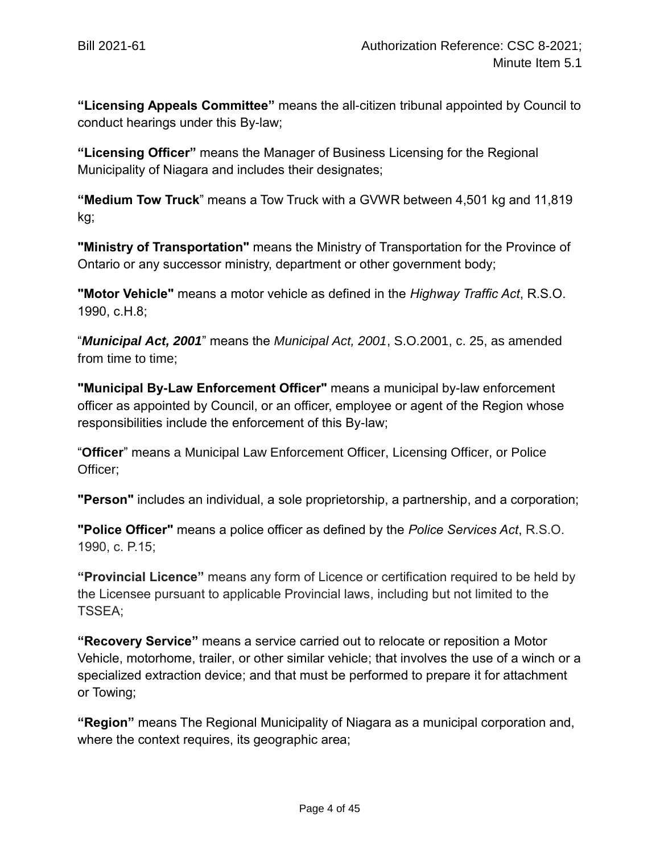**"Licensing Appeals Committee"** means the all-citizen tribunal appointed by Council to conduct hearings under this By-law;

**"Licensing Officer"** means the Manager of Business Licensing for the Regional Municipality of Niagara and includes their designates;

**"Medium Tow Truck**" means a Tow Truck with a GVWR between 4,501 kg and 11,819 kg;

**"Ministry of Transportation"** means the Ministry of Transportation for the Province of Ontario or any successor ministry, department or other government body;

**"Motor Vehicle"** means a motor vehicle as defined in the *Highway Traffic Act*, R.S.O. 1990, c.H.8;

"*Municipal Act, 2001*" means the *Municipal Act, 2001*, S.O.2001, c. 25, as amended from time to time;

**"Municipal By-Law Enforcement Officer"** means a municipal by-law enforcement officer as appointed by Council, or an officer, employee or agent of the Region whose responsibilities include the enforcement of this By-law;

"**Officer**" means a Municipal Law Enforcement Officer, Licensing Officer, or Police Officer;

**"Person"** includes an individual, a sole proprietorship, a partnership, and a corporation;

**"Police Officer"** means a police officer as defined by the *Police Services Act*, R.S.O. 1990, c. P.15;

**"Provincial Licence"** means any form of Licence or certification required to be held by the Licensee pursuant to applicable Provincial laws, including but not limited to the TSSEA;

**"Recovery Service"** means a service carried out to relocate or reposition a Motor Vehicle, motorhome, trailer, or other similar vehicle; that involves the use of a winch or a specialized extraction device; and that must be performed to prepare it for attachment or Towing;

**"Region"** means The Regional Municipality of Niagara as a municipal corporation and, where the context requires, its geographic area;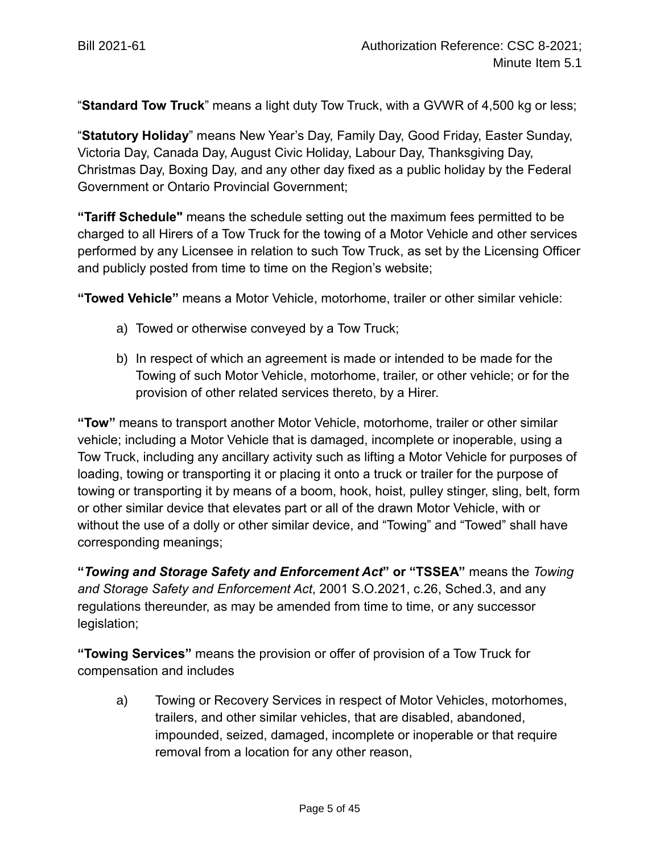"**Standard Tow Truck**" means a light duty Tow Truck, with a GVWR of 4,500 kg or less;

"**Statutory Holiday**" means New Year's Day, Family Day, Good Friday, Easter Sunday, Victoria Day, Canada Day, August Civic Holiday, Labour Day, Thanksgiving Day, Christmas Day, Boxing Day, and any other day fixed as a public holiday by the Federal Government or Ontario Provincial Government;

**"Tariff Schedule"** means the schedule setting out the maximum fees permitted to be charged to all Hirers of a Tow Truck for the towing of a Motor Vehicle and other services performed by any Licensee in relation to such Tow Truck, as set by the Licensing Officer and publicly posted from time to time on the Region's website;

**"Towed Vehicle"** means a Motor Vehicle, motorhome, trailer or other similar vehicle:

- a) Towed or otherwise conveyed by a Tow Truck;
- b) In respect of which an agreement is made or intended to be made for the Towing of such Motor Vehicle, motorhome, trailer, or other vehicle; or for the provision of other related services thereto, by a Hirer.

**"Tow"** means to transport another Motor Vehicle, motorhome, trailer or other similar vehicle; including a Motor Vehicle that is damaged, incomplete or inoperable, using a Tow Truck, including any ancillary activity such as lifting a Motor Vehicle for purposes of loading, towing or transporting it or placing it onto a truck or trailer for the purpose of towing or transporting it by means of a boom, hook, hoist, pulley stinger, sling, belt, form or other similar device that elevates part or all of the drawn Motor Vehicle, with or without the use of a dolly or other similar device, and "Towing" and "Towed" shall have corresponding meanings;

**"***Towing and Storage Safety and Enforcement Act***" or "TSSEA"** means the *Towing and Storage Safety and Enforcement Act*, 2001 S.O.2021, c.26, Sched.3, and any regulations thereunder, as may be amended from time to time, or any successor legislation;

**"Towing Services"** means the provision or offer of provision of a Tow Truck for compensation and includes

a) Towing or Recovery Services in respect of Motor Vehicles, motorhomes, trailers, and other similar vehicles, that are disabled, abandoned, impounded, seized, damaged, incomplete or inoperable or that require removal from a location for any other reason,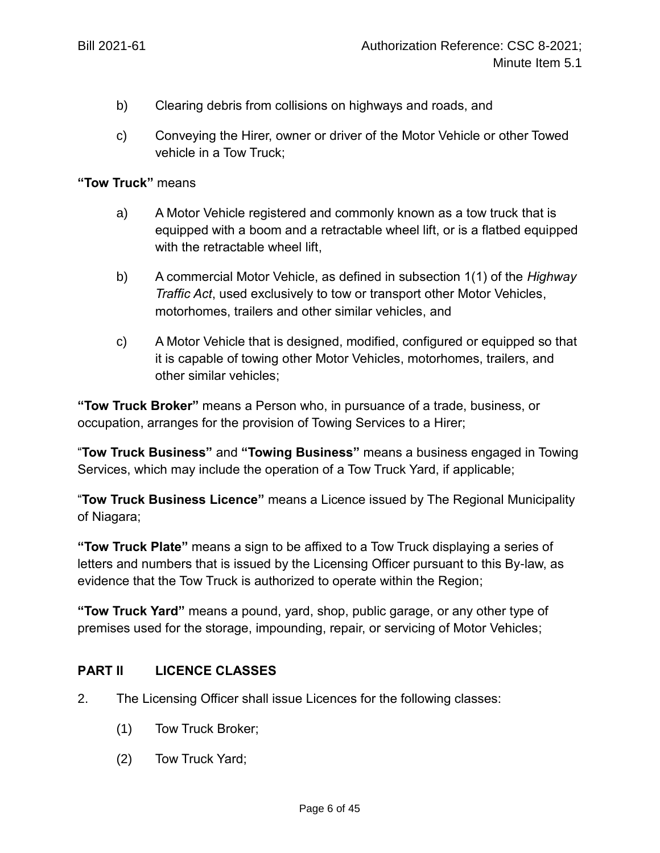- b) Clearing debris from collisions on highways and roads, and
- c) Conveying the Hirer, owner or driver of the Motor Vehicle or other Towed vehicle in a Tow Truck;

#### **"Tow Truck"** means

- a) A Motor Vehicle registered and commonly known as a tow truck that is equipped with a boom and a retractable wheel lift, or is a flatbed equipped with the retractable wheel lift,
- b) A commercial Motor Vehicle, as defined in subsection 1(1) of the *Highway Traffic Act*, used exclusively to tow or transport other Motor Vehicles, motorhomes, trailers and other similar vehicles, and
- c) A Motor Vehicle that is designed, modified, configured or equipped so that it is capable of towing other Motor Vehicles, motorhomes, trailers, and other similar vehicles;

**"Tow Truck Broker"** means a Person who, in pursuance of a trade, business, or occupation, arranges for the provision of Towing Services to a Hirer;

"**Tow Truck Business"** and **"Towing Business"** means a business engaged in Towing Services, which may include the operation of a Tow Truck Yard, if applicable;

"**Tow Truck Business Licence"** means a Licence issued by The Regional Municipality of Niagara;

**"Tow Truck Plate"** means a sign to be affixed to a Tow Truck displaying a series of letters and numbers that is issued by the Licensing Officer pursuant to this By-law, as evidence that the Tow Truck is authorized to operate within the Region;

**"Tow Truck Yard"** means a pound, yard, shop, public garage, or any other type of premises used for the storage, impounding, repair, or servicing of Motor Vehicles;

## **PART II LICENCE CLASSES**

- 2. The Licensing Officer shall issue Licences for the following classes:
	- (1) Tow Truck Broker;
	- (2) Tow Truck Yard;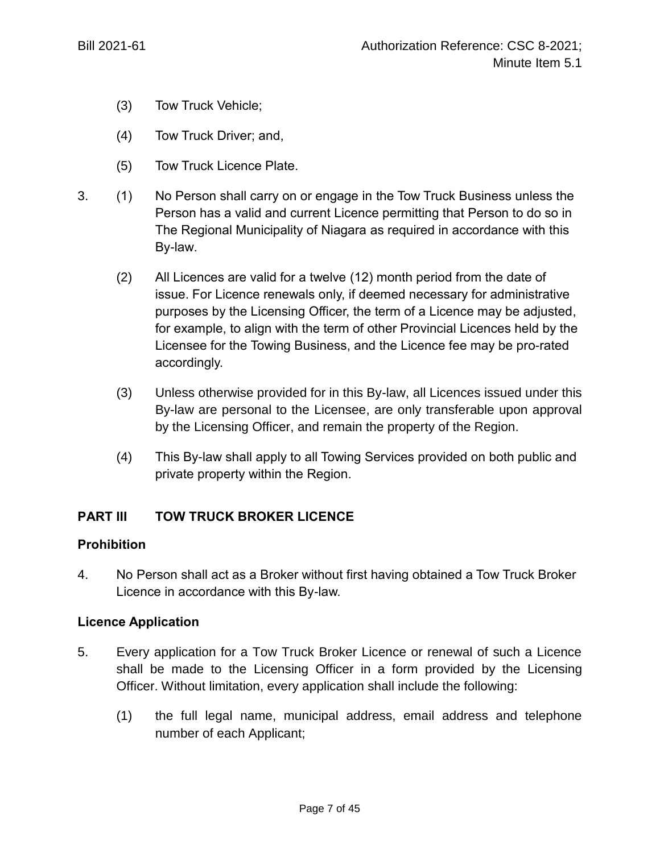- (3) Tow Truck Vehicle;
- (4) Tow Truck Driver; and,
- (5) Tow Truck Licence Plate.
- 3. (1) No Person shall carry on or engage in the Tow Truck Business unless the Person has a valid and current Licence permitting that Person to do so in The Regional Municipality of Niagara as required in accordance with this By-law.
	- (2) All Licences are valid for a twelve (12) month period from the date of issue. For Licence renewals only, if deemed necessary for administrative purposes by the Licensing Officer, the term of a Licence may be adjusted, for example, to align with the term of other Provincial Licences held by the Licensee for the Towing Business, and the Licence fee may be pro-rated accordingly.
	- (3) Unless otherwise provided for in this By-law, all Licences issued under this By-law are personal to the Licensee, are only transferable upon approval by the Licensing Officer, and remain the property of the Region.
	- (4) This By-law shall apply to all Towing Services provided on both public and private property within the Region.

## **PART III TOW TRUCK BROKER LICENCE**

#### **Prohibition**

4. No Person shall act as a Broker without first having obtained a Tow Truck Broker Licence in accordance with this By-law.

#### **Licence Application**

- 5. Every application for a Tow Truck Broker Licence or renewal of such a Licence shall be made to the Licensing Officer in a form provided by the Licensing Officer. Without limitation, every application shall include the following:
	- (1) the full legal name, municipal address, email address and telephone number of each Applicant;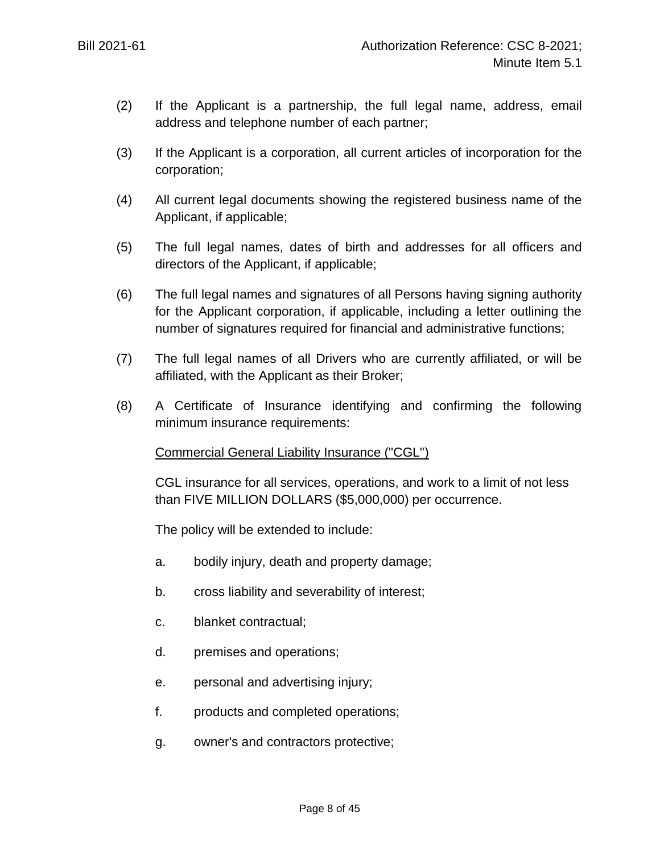- (2) If the Applicant is a partnership, the full legal name, address, email address and telephone number of each partner;
- (3) If the Applicant is a corporation, all current articles of incorporation for the corporation;
- (4) All current legal documents showing the registered business name of the Applicant, if applicable;
- (5) The full legal names, dates of birth and addresses for all officers and directors of the Applicant, if applicable;
- (6) The full legal names and signatures of all Persons having signing authority for the Applicant corporation, if applicable, including a letter outlining the number of signatures required for financial and administrative functions;
- (7) The full legal names of all Drivers who are currently affiliated, or will be affiliated, with the Applicant as their Broker;
- (8) A Certificate of Insurance identifying and confirming the following minimum insurance requirements:

## Commercial General Liability Insurance ("CGL")

CGL insurance for all services, operations, and work to a limit of not less than FIVE MILLION DOLLARS (\$5,000,000) per occurrence.

The policy will be extended to include:

- a. bodily injury, death and property damage;
- b. cross liability and severability of interest;
- c. blanket contractual;
- d. premises and operations;
- e. personal and advertising injury;
- f. products and completed operations;
- g. owner's and contractors protective;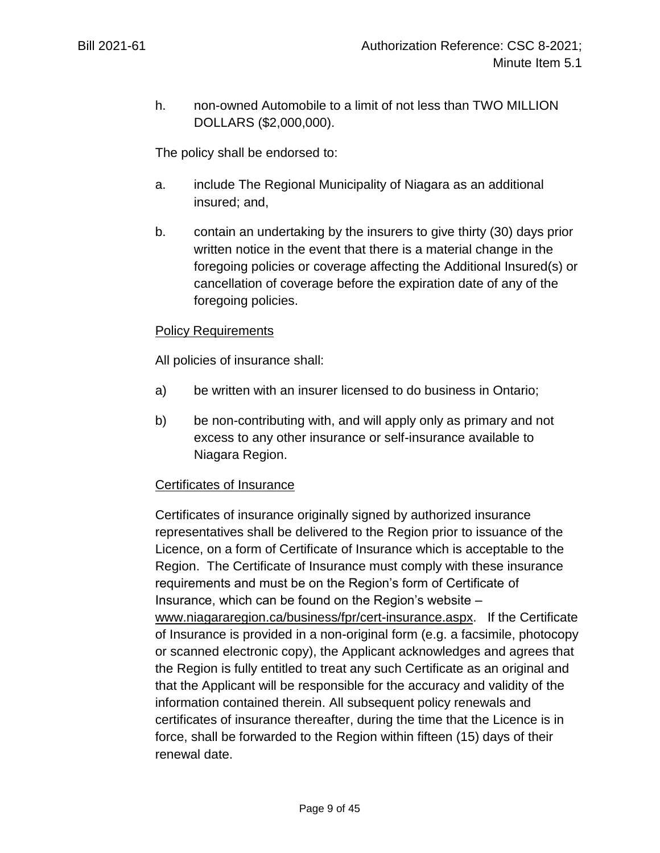h. non-owned Automobile to a limit of not less than TWO MILLION DOLLARS (\$2,000,000).

The policy shall be endorsed to:

- a. include The Regional Municipality of Niagara as an additional insured; and,
- b. contain an undertaking by the insurers to give thirty (30) days prior written notice in the event that there is a material change in the foregoing policies or coverage affecting the Additional Insured(s) or cancellation of coverage before the expiration date of any of the foregoing policies.

#### Policy Requirements

All policies of insurance shall:

- a) be written with an insurer licensed to do business in Ontario;
- b) be non-contributing with, and will apply only as primary and not excess to any other insurance or self-insurance available to Niagara Region.

#### Certificates of Insurance

Certificates of insurance originally signed by authorized insurance representatives shall be delivered to the Region prior to issuance of the Licence, on a form of Certificate of Insurance which is acceptable to the Region. The Certificate of Insurance must comply with these insurance requirements and must be on the Region's form of Certificate of Insurance, which can be found on the Region's website – [www.niagararegion.ca/business/fpr/cert-insurance.aspx.](http://www.niagararegion.ca/business/fpr/cert-insurance.aspx) If the Certificate of Insurance is provided in a non-original form (e.g. a facsimile, photocopy or scanned electronic copy), the Applicant acknowledges and agrees that the Region is fully entitled to treat any such Certificate as an original and that the Applicant will be responsible for the accuracy and validity of the information contained therein. All subsequent policy renewals and certificates of insurance thereafter, during the time that the Licence is in force, shall be forwarded to the Region within fifteen (15) days of their renewal date.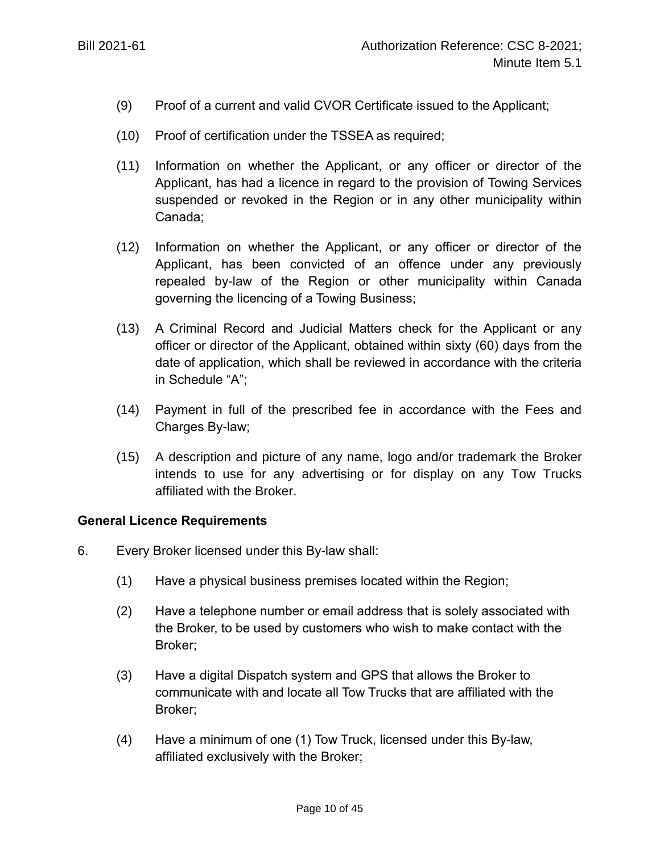- (9) Proof of a current and valid CVOR Certificate issued to the Applicant;
- (10) Proof of certification under the TSSEA as required;
- (11) Information on whether the Applicant, or any officer or director of the Applicant, has had a licence in regard to the provision of Towing Services suspended or revoked in the Region or in any other municipality within Canada;
- (12) Information on whether the Applicant, or any officer or director of the Applicant, has been convicted of an offence under any previously repealed by-law of the Region or other municipality within Canada governing the licencing of a Towing Business;
- (13) A Criminal Record and Judicial Matters check for the Applicant or any officer or director of the Applicant, obtained within sixty (60) days from the date of application, which shall be reviewed in accordance with the criteria in Schedule "A";
- (14) Payment in full of the prescribed fee in accordance with the Fees and Charges By-law;
- (15) A description and picture of any name, logo and/or trademark the Broker intends to use for any advertising or for display on any Tow Trucks affiliated with the Broker.

#### **General Licence Requirements**

- 6. Every Broker licensed under this By-law shall:
	- (1) Have a physical business premises located within the Region;
	- (2) Have a telephone number or email address that is solely associated with the Broker, to be used by customers who wish to make contact with the Broker;
	- (3) Have a digital Dispatch system and GPS that allows the Broker to communicate with and locate all Tow Trucks that are affiliated with the Broker;
	- (4) Have a minimum of one (1) Tow Truck, licensed under this By-law, affiliated exclusively with the Broker;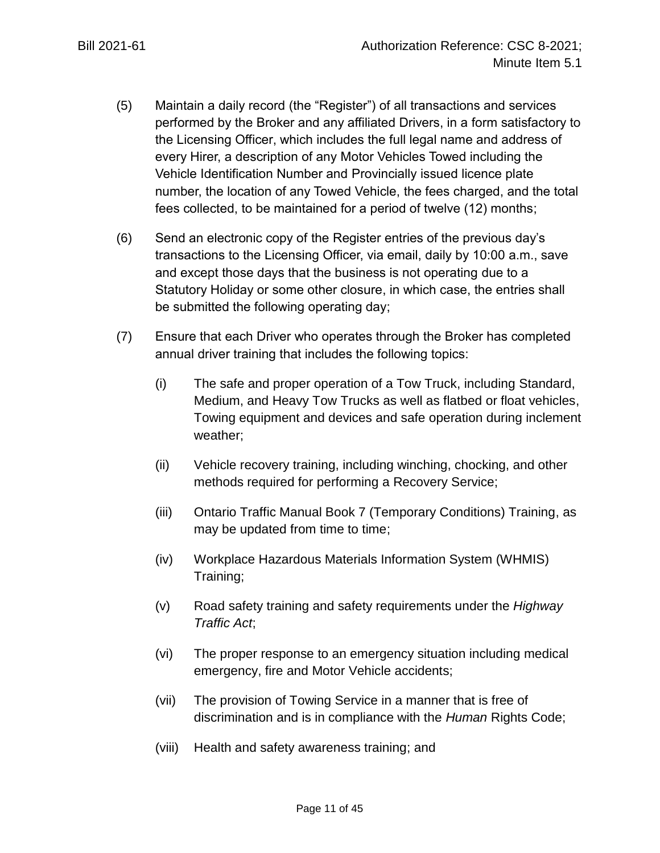- (5) Maintain a daily record (the "Register") of all transactions and services performed by the Broker and any affiliated Drivers, in a form satisfactory to the Licensing Officer, which includes the full legal name and address of every Hirer, a description of any Motor Vehicles Towed including the Vehicle Identification Number and Provincially issued licence plate number, the location of any Towed Vehicle, the fees charged, and the total fees collected, to be maintained for a period of twelve (12) months;
- (6) Send an electronic copy of the Register entries of the previous day's transactions to the Licensing Officer, via email, daily by 10:00 a.m., save and except those days that the business is not operating due to a Statutory Holiday or some other closure, in which case, the entries shall be submitted the following operating day;
- (7) Ensure that each Driver who operates through the Broker has completed annual driver training that includes the following topics:
	- (i) The safe and proper operation of a Tow Truck, including Standard, Medium, and Heavy Tow Trucks as well as flatbed or float vehicles, Towing equipment and devices and safe operation during inclement weather;
	- (ii) Vehicle recovery training, including winching, chocking, and other methods required for performing a Recovery Service;
	- (iii) Ontario Traffic Manual Book 7 (Temporary Conditions) Training, as may be updated from time to time;
	- (iv) Workplace Hazardous Materials Information System (WHMIS) Training;
	- (v) Road safety training and safety requirements under the *Highway Traffic Act*;
	- (vi) The proper response to an emergency situation including medical emergency, fire and Motor Vehicle accidents;
	- (vii) The provision of Towing Service in a manner that is free of discrimination and is in compliance with the *Human* Rights Code;
	- (viii) Health and safety awareness training; and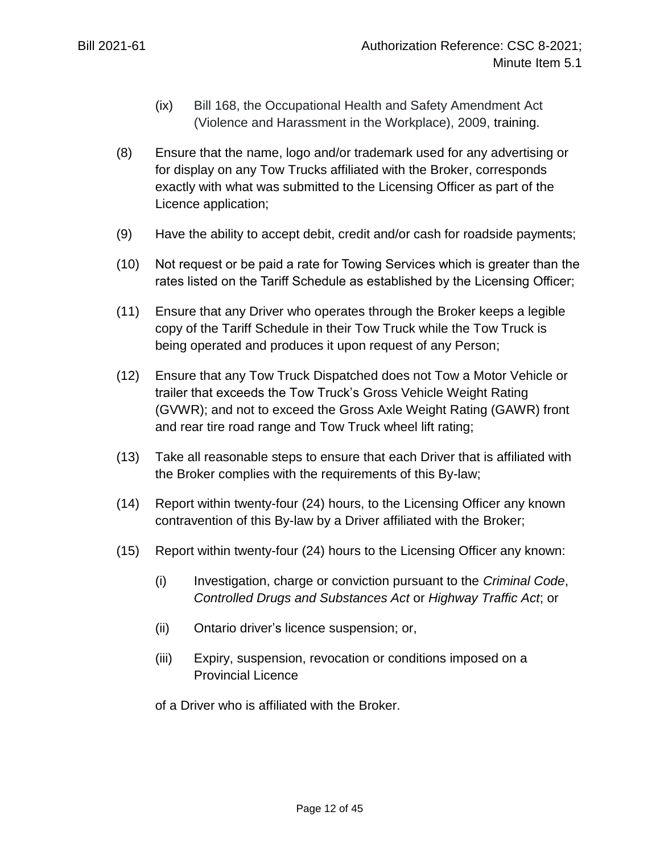- (ix) Bill 168, the *Occupational Health and Safety Amendment Act (Violence and Harassment in the Workplace), 2009,* training.
- (8) Ensure that the name, logo and/or trademark used for any advertising or for display on any Tow Trucks affiliated with the Broker, corresponds exactly with what was submitted to the Licensing Officer as part of the Licence application;
- (9) Have the ability to accept debit, credit and/or cash for roadside payments;
- (10) Not request or be paid a rate for Towing Services which is greater than the rates listed on the Tariff Schedule as established by the Licensing Officer;
- (11) Ensure that any Driver who operates through the Broker keeps a legible copy of the Tariff Schedule in their Tow Truck while the Tow Truck is being operated and produces it upon request of any Person;
- (12) Ensure that any Tow Truck Dispatched does not Tow a Motor Vehicle or trailer that exceeds the Tow Truck's Gross Vehicle Weight Rating (GVWR); and not to exceed the Gross Axle Weight Rating (GAWR) front and rear tire road range and Tow Truck wheel lift rating;
- (13) Take all reasonable steps to ensure that each Driver that is affiliated with the Broker complies with the requirements of this By-law;
- (14) Report within twenty-four (24) hours, to the Licensing Officer any known contravention of this By-law by a Driver affiliated with the Broker;
- (15) Report within twenty-four (24) hours to the Licensing Officer any known:
	- (i) Investigation, charge or conviction pursuant to the *Criminal Code*, *Controlled Drugs and Substances Act* or *Highway Traffic Act*; or
	- (ii) Ontario driver's licence suspension; or,
	- (iii) Expiry, suspension, revocation or conditions imposed on a Provincial Licence

of a Driver who is affiliated with the Broker.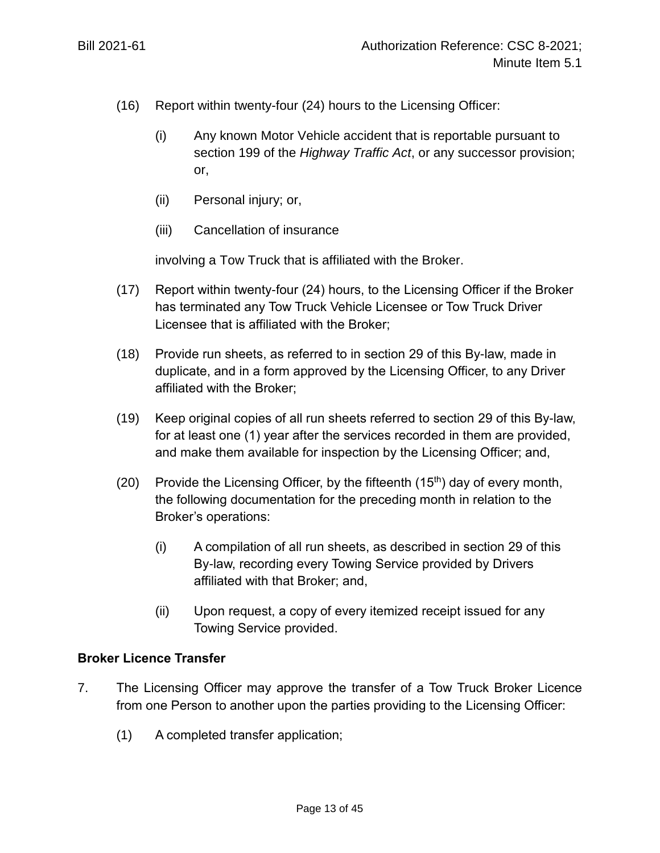- (16) Report within twenty-four (24) hours to the Licensing Officer:
	- (i) Any known Motor Vehicle accident that is reportable pursuant to section 199 of the *Highway Traffic Act*, or any successor provision; or,
	- (ii) Personal injury; or,
	- (iii) Cancellation of insurance

involving a Tow Truck that is affiliated with the Broker.

- (17) Report within twenty-four (24) hours, to the Licensing Officer if the Broker has terminated any Tow Truck Vehicle Licensee or Tow Truck Driver Licensee that is affiliated with the Broker;
- (18) Provide run sheets, as referred to in section 29 of this By-law, made in duplicate, and in a form approved by the Licensing Officer, to any Driver affiliated with the Broker;
- <span id="page-12-0"></span>(19) Keep original copies of all run sheets referred to section 29 of this By-law, for at least one (1) year after the services recorded in them are provided, and make them available for inspection by the Licensing Officer; and,
- (20) Provide the Licensing Officer, by the fifteenth  $(15<sup>th</sup>)$  day of every month, the following documentation for the preceding month in relation to the Broker's operations:
	- (i) A compilation of all run sheets, as described in section 29 of this By-law, recording every Towing Service provided by Drivers affiliated with that Broker; and,
	- (ii) Upon request, a copy of every itemized receipt issued for any Towing Service provided.

## **Broker Licence Transfer**

- 7. The Licensing Officer may approve the transfer of a Tow Truck Broker Licence from one Person to another upon the parties providing to the Licensing Officer:
	- (1) A completed transfer application;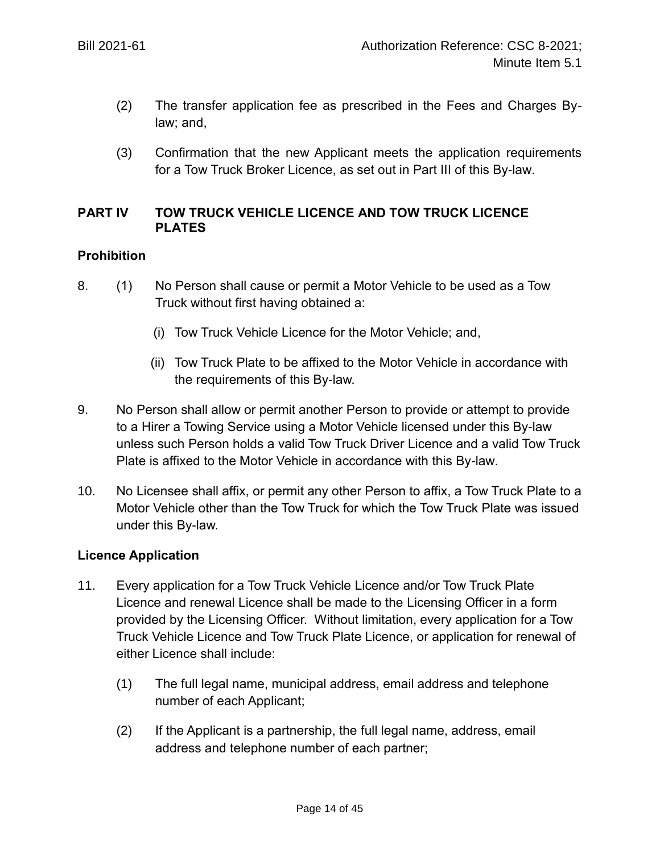- (2) The transfer application fee as prescribed in the Fees and Charges Bylaw; and,
- (3) Confirmation that the new Applicant meets the application requirements for a Tow Truck Broker Licence, as set out in Part III of this By-law.

## **PART IV TOW TRUCK VEHICLE LICENCE AND TOW TRUCK LICENCE PLATES**

### **Prohibition**

- 8. (1) No Person shall cause or permit a Motor Vehicle to be used as a Tow Truck without first having obtained a:
	- (i) Tow Truck Vehicle Licence for the Motor Vehicle; and,
	- (ii) Tow Truck Plate to be affixed to the Motor Vehicle in accordance with the requirements of this By-law.
- 9. No Person shall allow or permit another Person to provide or attempt to provide to a Hirer a Towing Service using a Motor Vehicle licensed under this By-law unless such Person holds a valid Tow Truck Driver Licence and a valid Tow Truck Plate is affixed to the Motor Vehicle in accordance with this By-law.
- 10. No Licensee shall affix, or permit any other Person to affix, a Tow Truck Plate to a Motor Vehicle other than the Tow Truck for which the Tow Truck Plate was issued under this By-law.

## **Licence Application**

- 11. Every application for a Tow Truck Vehicle Licence and/or Tow Truck Plate Licence and renewal Licence shall be made to the Licensing Officer in a form provided by the Licensing Officer. Without limitation, every application for a Tow Truck Vehicle Licence and Tow Truck Plate Licence, or application for renewal of either Licence shall include:
	- (1) The full legal name, municipal address, email address and telephone number of each Applicant;
	- (2) If the Applicant is a partnership, the full legal name, address, email address and telephone number of each partner;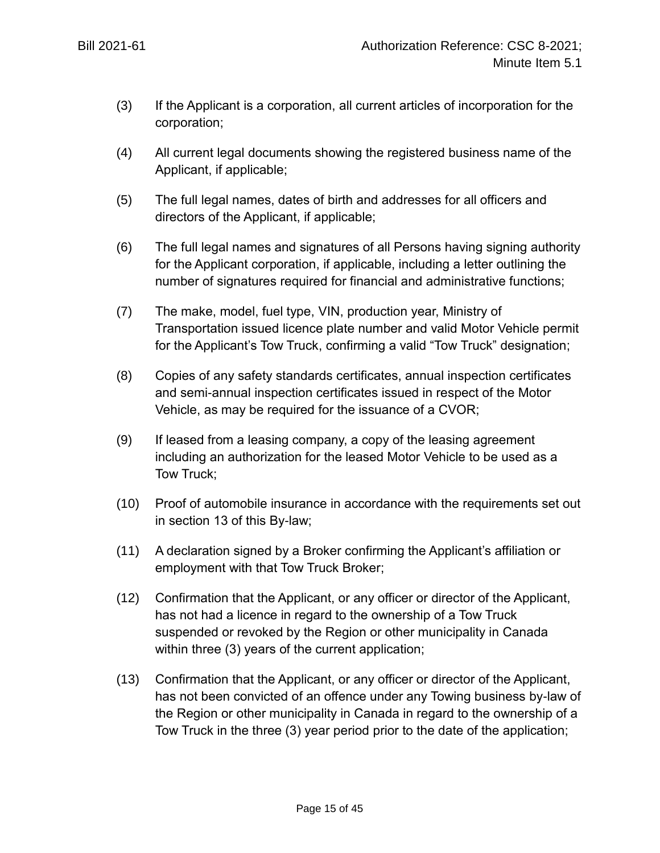- (3) If the Applicant is a corporation, all current articles of incorporation for the corporation;
- (4) All current legal documents showing the registered business name of the Applicant, if applicable;
- (5) The full legal names, dates of birth and addresses for all officers and directors of the Applicant, if applicable;
- (6) The full legal names and signatures of all Persons having signing authority for the Applicant corporation, if applicable, including a letter outlining the number of signatures required for financial and administrative functions;
- (7) The make, model, fuel type, VIN, production year, Ministry of Transportation issued licence plate number and valid Motor Vehicle permit for the Applicant's Tow Truck, confirming a valid "Tow Truck" designation;
- (8) Copies of any safety standards certificates, annual inspection certificates and semi-annual inspection certificates issued in respect of the Motor Vehicle, as may be required for the issuance of a CVOR;
- (9) If leased from a leasing company, a copy of the leasing agreement including an authorization for the leased Motor Vehicle to be used as a Tow Truck;
- (10) Proof of automobile insurance in accordance with the requirements set out in section 13 of this By-law;
- (11) A declaration signed by a Broker confirming the Applicant's affiliation or employment with that Tow Truck Broker;
- (12) Confirmation that the Applicant, or any officer or director of the Applicant, has not had a licence in regard to the ownership of a Tow Truck suspended or revoked by the Region or other municipality in Canada within three (3) years of the current application;
- (13) Confirmation that the Applicant, or any officer or director of the Applicant, has not been convicted of an offence under any Towing business by-law of the Region or other municipality in Canada in regard to the ownership of a Tow Truck in the three (3) year period prior to the date of the application;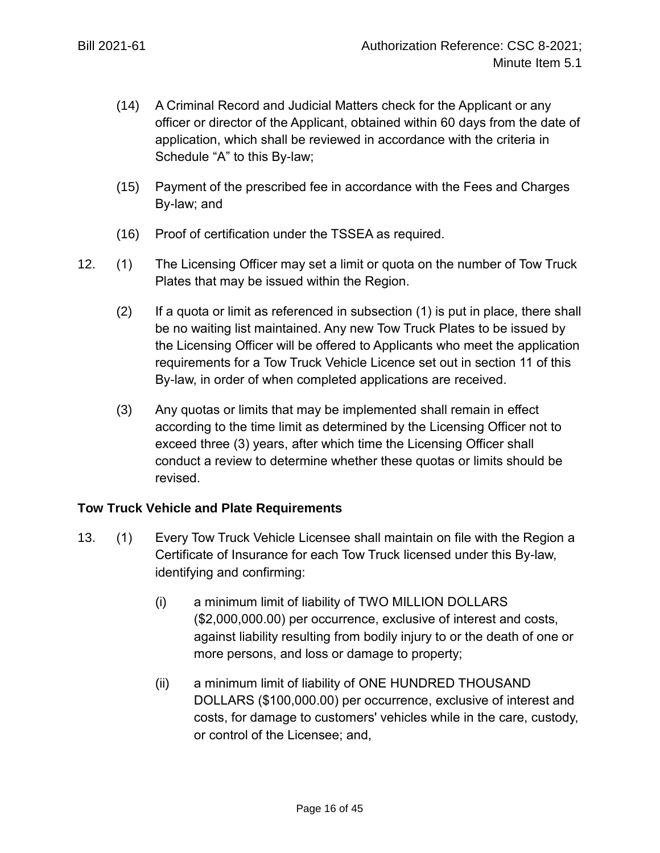- (14) A Criminal Record and Judicial Matters check for the Applicant or any officer or director of the Applicant, obtained within 60 days from the date of application, which shall be reviewed in accordance with the criteria in Schedule "A" to this By-law;
- (15) Payment of the prescribed fee in accordance with the Fees and Charges By-law; and
- (16) Proof of certification under the TSSEA as required.
- 12. (1) The Licensing Officer may set a limit or quota on the number of Tow Truck Plates that may be issued within the Region.
	- (2) If a quota or limit as referenced in subsection (1) is put in place, there shall be no waiting list maintained. Any new Tow Truck Plates to be issued by the Licensing Officer will be offered to Applicants who meet the application requirements for a Tow Truck Vehicle Licence set out in section 11 of this By-law, in order of when completed applications are received.
	- (3) Any quotas or limits that may be implemented shall remain in effect according to the time limit as determined by the Licensing Officer not to exceed three (3) years, after which time the Licensing Officer shall conduct a review to determine whether these quotas or limits should be revised.

## **Tow Truck Vehicle and Plate Requirements**

- 13. (1) Every Tow Truck Vehicle Licensee shall maintain on file with the Region a Certificate of Insurance for each Tow Truck licensed under this By-law, identifying and confirming:
	- (i) a minimum limit of liability of TWO MILLION DOLLARS (\$2,000,000.00) per occurrence, exclusive of interest and costs, against liability resulting from bodily injury to or the death of one or more persons, and loss or damage to property;
	- (ii) a minimum limit of liability of ONE HUNDRED THOUSAND DOLLARS (\$100,000.00) per occurrence, exclusive of interest and costs, for damage to customers' vehicles while in the care, custody, or control of the Licensee; and,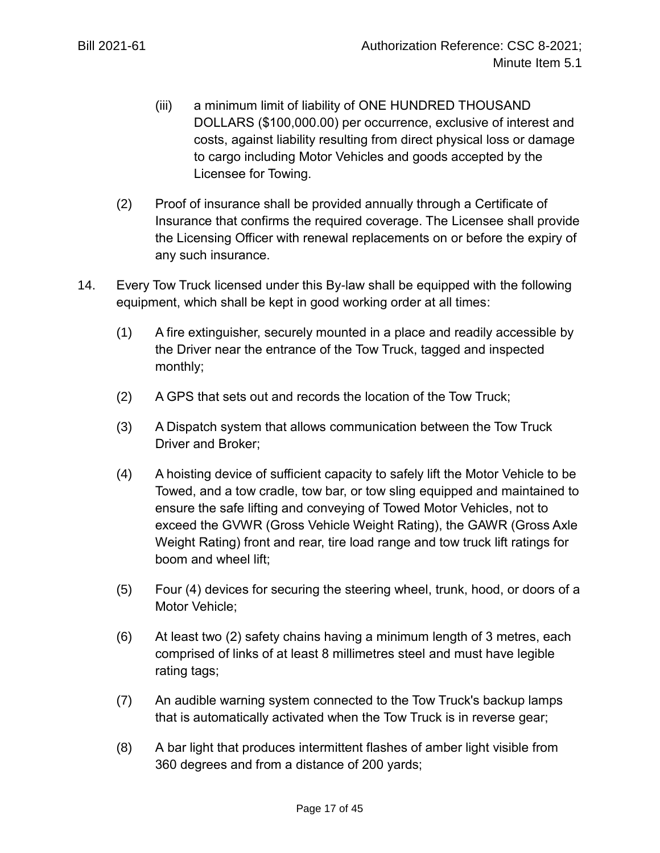- (iii) a minimum limit of liability of ONE HUNDRED THOUSAND DOLLARS (\$100,000.00) per occurrence, exclusive of interest and costs, against liability resulting from direct physical loss or damage to cargo including Motor Vehicles and goods accepted by the Licensee for Towing.
- (2) Proof of insurance shall be provided annually through a Certificate of Insurance that confirms the required coverage. The Licensee shall provide the Licensing Officer with renewal replacements on or before the expiry of any such insurance.
- 14. Every Tow Truck licensed under this By-law shall be equipped with the following equipment, which shall be kept in good working order at all times:
	- (1) A fire extinguisher, securely mounted in a place and readily accessible by the Driver near the entrance of the Tow Truck, tagged and inspected monthly;
	- (2) A GPS that sets out and records the location of the Tow Truck;
	- (3) A Dispatch system that allows communication between the Tow Truck Driver and Broker;
	- (4) A hoisting device of sufficient capacity to safely lift the Motor Vehicle to be Towed, and a tow cradle, tow bar, or tow sling equipped and maintained to ensure the safe lifting and conveying of Towed Motor Vehicles, not to exceed the GVWR (Gross Vehicle Weight Rating), the GAWR (Gross Axle Weight Rating) front and rear, tire load range and tow truck lift ratings for boom and wheel lift;
	- (5) Four (4) devices for securing the steering wheel, trunk, hood, or doors of a Motor Vehicle;
	- (6) At least two (2) safety chains having a minimum length of 3 metres, each comprised of links of at least 8 millimetres steel and must have legible rating tags;
	- (7) An audible warning system connected to the Tow Truck's backup lamps that is automatically activated when the Tow Truck is in reverse gear;
	- (8) A bar light that produces intermittent flashes of amber light visible from 360 degrees and from a distance of 200 yards;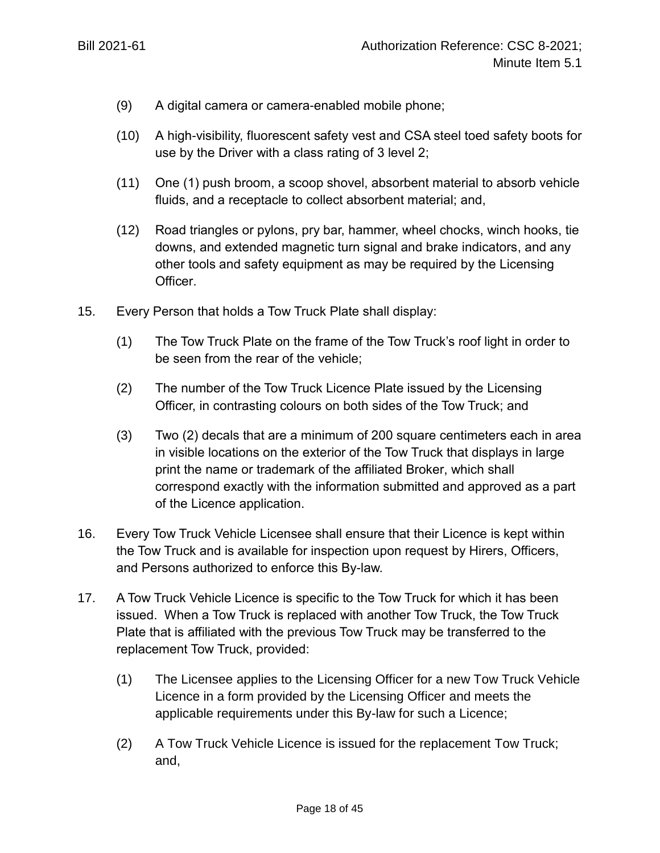- (9) A digital camera or camera-enabled mobile phone;
- (10) A high-visibility, fluorescent safety vest and CSA steel toed safety boots for use by the Driver with a class rating of 3 level 2;
- (11) One (1) push broom, a scoop shovel, absorbent material to absorb vehicle fluids, and a receptacle to collect absorbent material; and,
- (12) Road triangles or pylons, pry bar, hammer, wheel chocks, winch hooks, tie downs, and extended magnetic turn signal and brake indicators, and any other tools and safety equipment as may be required by the Licensing Officer.
- 15. Every Person that holds a Tow Truck Plate shall display:
	- (1) The Tow Truck Plate on the frame of the Tow Truck's roof light in order to be seen from the rear of the vehicle;
	- (2) The number of the Tow Truck Licence Plate issued by the Licensing Officer, in contrasting colours on both sides of the Tow Truck; and
	- (3) Two (2) decals that are a minimum of 200 square centimeters each in area in visible locations on the exterior of the Tow Truck that displays in large print the name or trademark of the affiliated Broker, which shall correspond exactly with the information submitted and approved as a part of the Licence application.
- 16. Every Tow Truck Vehicle Licensee shall ensure that their Licence is kept within the Tow Truck and is available for inspection upon request by Hirers, Officers, and Persons authorized to enforce this By-law.
- 17. A Tow Truck Vehicle Licence is specific to the Tow Truck for which it has been issued. When a Tow Truck is replaced with another Tow Truck, the Tow Truck Plate that is affiliated with the previous Tow Truck may be transferred to the replacement Tow Truck, provided:
	- (1) The Licensee applies to the Licensing Officer for a new Tow Truck Vehicle Licence in a form provided by the Licensing Officer and meets the applicable requirements under this By-law for such a Licence;
	- (2) A Tow Truck Vehicle Licence is issued for the replacement Tow Truck; and,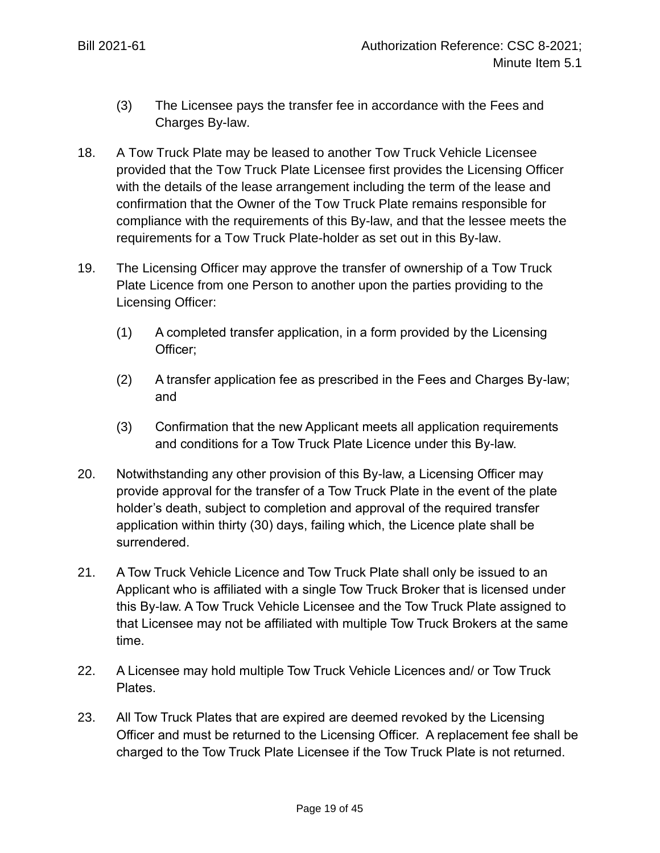- (3) The Licensee pays the transfer fee in accordance with the Fees and Charges By-law.
- 18. A Tow Truck Plate may be leased to another Tow Truck Vehicle Licensee provided that the Tow Truck Plate Licensee first provides the Licensing Officer with the details of the lease arrangement including the term of the lease and confirmation that the Owner of the Tow Truck Plate remains responsible for compliance with the requirements of this By-law, and that the lessee meets the requirements for a Tow Truck Plate-holder as set out in this By-law.
- 19. The Licensing Officer may approve the transfer of ownership of a Tow Truck Plate Licence from one Person to another upon the parties providing to the Licensing Officer:
	- (1) A completed transfer application, in a form provided by the Licensing Officer;
	- (2) A transfer application fee as prescribed in the Fees and Charges By-law; and
	- (3) Confirmation that the new Applicant meets all application requirements and conditions for a Tow Truck Plate Licence under this By-law.
- 20. Notwithstanding any other provision of this By-law, a Licensing Officer may provide approval for the transfer of a Tow Truck Plate in the event of the plate holder's death, subject to completion and approval of the required transfer application within thirty (30) days, failing which, the Licence plate shall be surrendered.
- 21. A Tow Truck Vehicle Licence and Tow Truck Plate shall only be issued to an Applicant who is affiliated with a single Tow Truck Broker that is licensed under this By-law. A Tow Truck Vehicle Licensee and the Tow Truck Plate assigned to that Licensee may not be affiliated with multiple Tow Truck Brokers at the same time.
- 22. A Licensee may hold multiple Tow Truck Vehicle Licences and/ or Tow Truck Plates.
- 23. All Tow Truck Plates that are expired are deemed revoked by the Licensing Officer and must be returned to the Licensing Officer. A replacement fee shall be charged to the Tow Truck Plate Licensee if the Tow Truck Plate is not returned.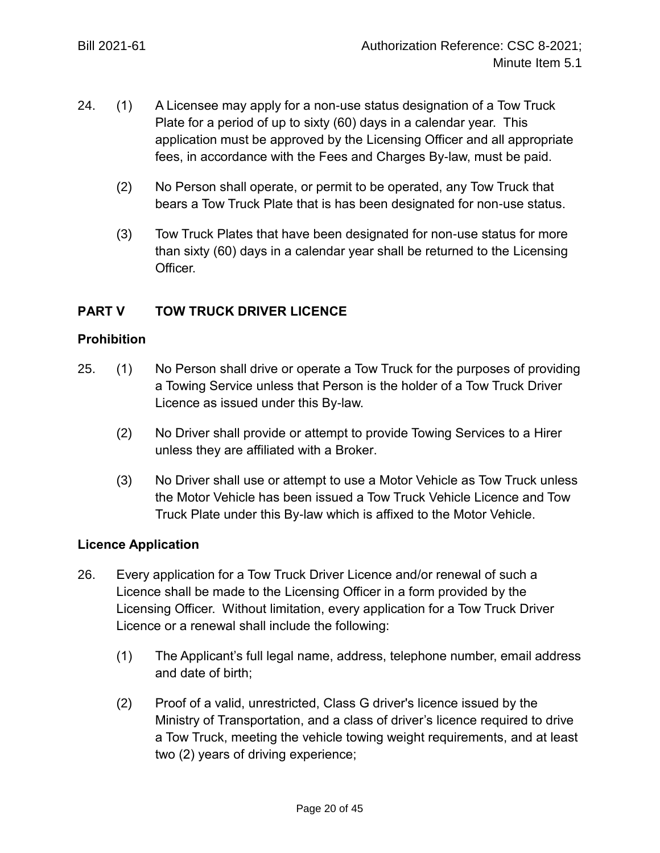- 24. (1) A Licensee may apply for a non-use status designation of a Tow Truck Plate for a period of up to sixty (60) days in a calendar year. This application must be approved by the Licensing Officer and all appropriate fees, in accordance with the Fees and Charges By-law, must be paid.
	- (2) No Person shall operate, or permit to be operated, any Tow Truck that bears a Tow Truck Plate that is has been designated for non-use status.
	- (3) Tow Truck Plates that have been designated for non-use status for more than sixty (60) days in a calendar year shall be returned to the Licensing Officer.

# **PART V TOW TRUCK DRIVER LICENCE**

### **Prohibition**

- 25. (1) No Person shall drive or operate a Tow Truck for the purposes of providing a Towing Service unless that Person is the holder of a Tow Truck Driver Licence as issued under this By-law.
	- (2) No Driver shall provide or attempt to provide Towing Services to a Hirer unless they are affiliated with a Broker.
	- (3) No Driver shall use or attempt to use a Motor Vehicle as Tow Truck unless the Motor Vehicle has been issued a Tow Truck Vehicle Licence and Tow Truck Plate under this By-law which is affixed to the Motor Vehicle.

## **Licence Application**

- 26. Every application for a Tow Truck Driver Licence and/or renewal of such a Licence shall be made to the Licensing Officer in a form provided by the Licensing Officer. Without limitation, every application for a Tow Truck Driver Licence or a renewal shall include the following:
	- (1) The Applicant's full legal name, address, telephone number, email address and date of birth;
	- (2) Proof of a valid, unrestricted, Class G driver's licence issued by the Ministry of Transportation, and a class of driver's licence required to drive a Tow Truck, meeting the vehicle towing weight requirements, and at least two (2) years of driving experience;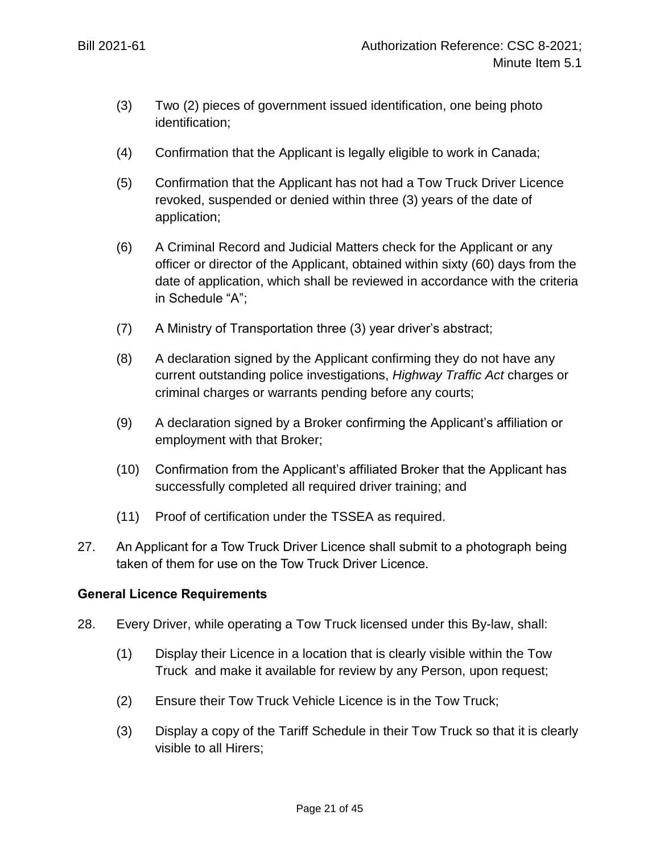- (3) Two (2) pieces of government issued identification, one being photo identification;
- (4) Confirmation that the Applicant is legally eligible to work in Canada;
- (5) Confirmation that the Applicant has not had a Tow Truck Driver Licence revoked, suspended or denied within three (3) years of the date of application;
- (6) A Criminal Record and Judicial Matters check for the Applicant or any officer or director of the Applicant, obtained within sixty (60) days from the date of application, which shall be reviewed in accordance with the criteria in Schedule "A";
- (7) A Ministry of Transportation three (3) year driver's abstract;
- (8) A declaration signed by the Applicant confirming they do not have any current outstanding police investigations, *Highway Traffic Act* charges or criminal charges or warrants pending before any courts;
- (9) A declaration signed by a Broker confirming the Applicant's affiliation or employment with that Broker;
- (10) Confirmation from the Applicant's affiliated Broker that the Applicant has successfully completed all required driver training; and
- (11) Proof of certification under the TSSEA as required.
- 27. An Applicant for a Tow Truck Driver Licence shall submit to a photograph being taken of them for use on the Tow Truck Driver Licence.

## **General Licence Requirements**

- 28. Every Driver, while operating a Tow Truck licensed under this By-law, shall:
	- (1) Display their Licence in a location that is clearly visible within the Tow Truck and make it available for review by any Person, upon request;
	- (2) Ensure their Tow Truck Vehicle Licence is in the Tow Truck;
	- (3) Display a copy of the Tariff Schedule in their Tow Truck so that it is clearly visible to all Hirers;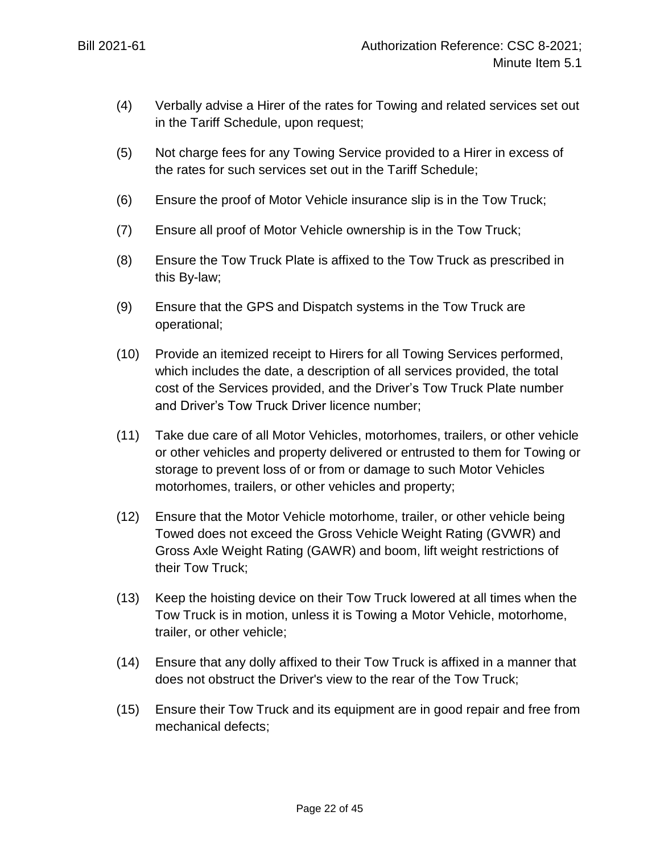- (4) Verbally advise a Hirer of the rates for Towing and related services set out in the Tariff Schedule, upon request;
- (5) Not charge fees for any Towing Service provided to a Hirer in excess of the rates for such services set out in the Tariff Schedule;
- (6) Ensure the proof of Motor Vehicle insurance slip is in the Tow Truck;
- (7) Ensure all proof of Motor Vehicle ownership is in the Tow Truck;
- (8) Ensure the Tow Truck Plate is affixed to the Tow Truck as prescribed in this By-law;
- (9) Ensure that the GPS and Dispatch systems in the Tow Truck are operational;
- (10) Provide an itemized receipt to Hirers for all Towing Services performed, which includes the date, a description of all services provided, the total cost of the Services provided, and the Driver's Tow Truck Plate number and Driver's Tow Truck Driver licence number;
- (11) Take due care of all Motor Vehicles, motorhomes, trailers, or other vehicle or other vehicles and property delivered or entrusted to them for Towing or storage to prevent loss of or from or damage to such Motor Vehicles motorhomes, trailers, or other vehicles and property;
- (12) Ensure that the Motor Vehicle motorhome, trailer, or other vehicle being Towed does not exceed the Gross Vehicle Weight Rating (GVWR) and Gross Axle Weight Rating (GAWR) and boom, lift weight restrictions of their Tow Truck;
- (13) Keep the hoisting device on their Tow Truck lowered at all times when the Tow Truck is in motion, unless it is Towing a Motor Vehicle, motorhome, trailer, or other vehicle;
- (14) Ensure that any dolly affixed to their Tow Truck is affixed in a manner that does not obstruct the Driver's view to the rear of the Tow Truck;
- (15) Ensure their Tow Truck and its equipment are in good repair and free from mechanical defects;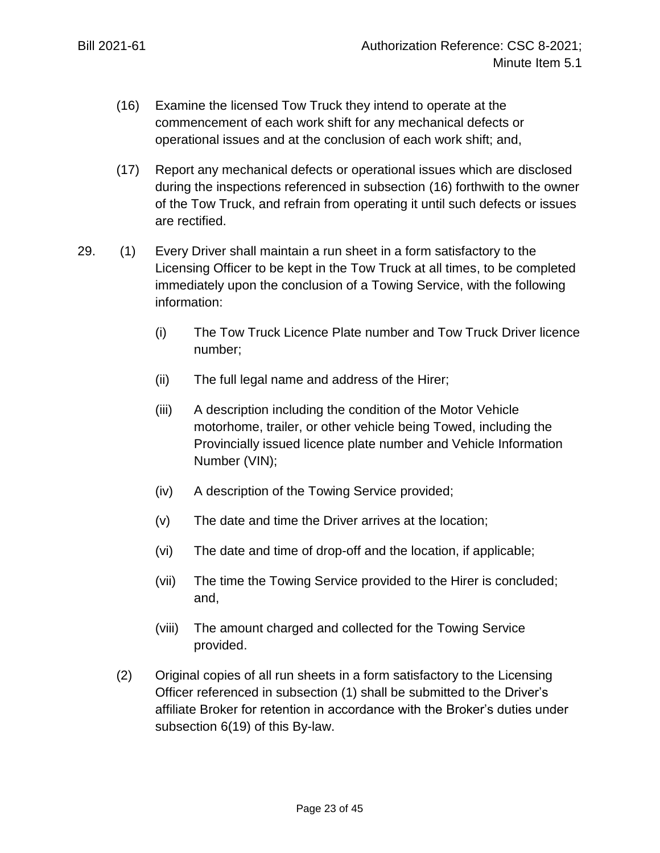- <span id="page-22-0"></span>(16) Examine the licensed Tow Truck they intend to operate at the commencement of each work shift for any mechanical defects or operational issues and at the conclusion of each work shift; and,
- (17) Report any mechanical defects or operational issues which are disclosed during the inspections referenced in subsection [\(16\)](#page-22-0) forthwith to the owner of the Tow Truck, and refrain from operating it until such defects or issues are rectified.
- 29. (1) Every Driver shall maintain a run sheet in a form satisfactory to the Licensing Officer to be kept in the Tow Truck at all times, to be completed immediately upon the conclusion of a Towing Service, with the following information:
	- (i) The Tow Truck Licence Plate number and Tow Truck Driver licence number;
	- (ii) The full legal name and address of the Hirer;
	- (iii) A description including the condition of the Motor Vehicle motorhome, trailer, or other vehicle being Towed, including the Provincially issued licence plate number and Vehicle Information Number (VIN);
	- (iv) A description of the Towing Service provided;
	- (v) The date and time the Driver arrives at the location;
	- (vi) The date and time of drop-off and the location, if applicable;
	- (vii) The time the Towing Service provided to the Hirer is concluded; and,
	- (viii) The amount charged and collected for the Towing Service provided.
	- (2) Original copies of all run sheets in a form satisfactory to the Licensing Officer referenced in subsection (1) shall be submitted to the Driver's affiliate Broker for retention in accordance with the Broker's duties under subsection [6\(19\)](#page-12-0) of this By-law.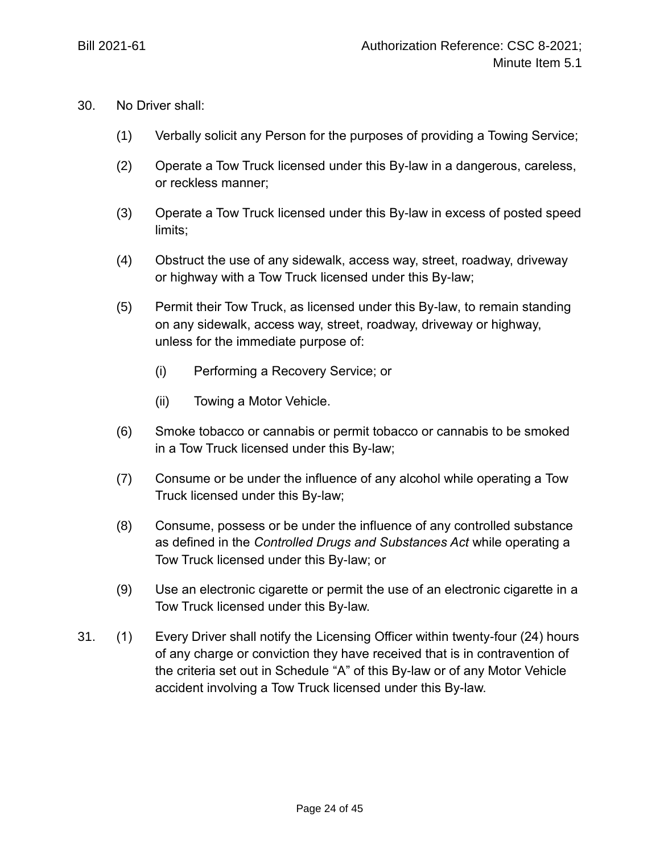- 30. No Driver shall:
	- (1) Verbally solicit any Person for the purposes of providing a Towing Service;
	- (2) Operate a Tow Truck licensed under this By-law in a dangerous, careless, or reckless manner;
	- (3) Operate a Tow Truck licensed under this By-law in excess of posted speed limits;
	- (4) Obstruct the use of any sidewalk, access way, street, roadway, driveway or highway with a Tow Truck licensed under this By-law;
	- (5) Permit their Tow Truck, as licensed under this By-law, to remain standing on any sidewalk, access way, street, roadway, driveway or highway, unless for the immediate purpose of:
		- (i) Performing a Recovery Service; or
		- (ii) Towing a Motor Vehicle.
	- (6) Smoke tobacco or cannabis or permit tobacco or cannabis to be smoked in a Tow Truck licensed under this By-law;
	- (7) Consume or be under the influence of any alcohol while operating a Tow Truck licensed under this By-law;
	- (8) Consume, possess or be under the influence of any controlled substance as defined in the *Controlled Drugs and Substances Act* while operating a Tow Truck licensed under this By-law; or
	- (9) Use an electronic cigarette or permit the use of an electronic cigarette in a Tow Truck licensed under this By-law.
- 31. (1) Every Driver shall notify the Licensing Officer within twenty-four (24) hours of any charge or conviction they have received that is in contravention of the criteria set out in Schedule "A" of this By-law or of any Motor Vehicle accident involving a Tow Truck licensed under this By-law.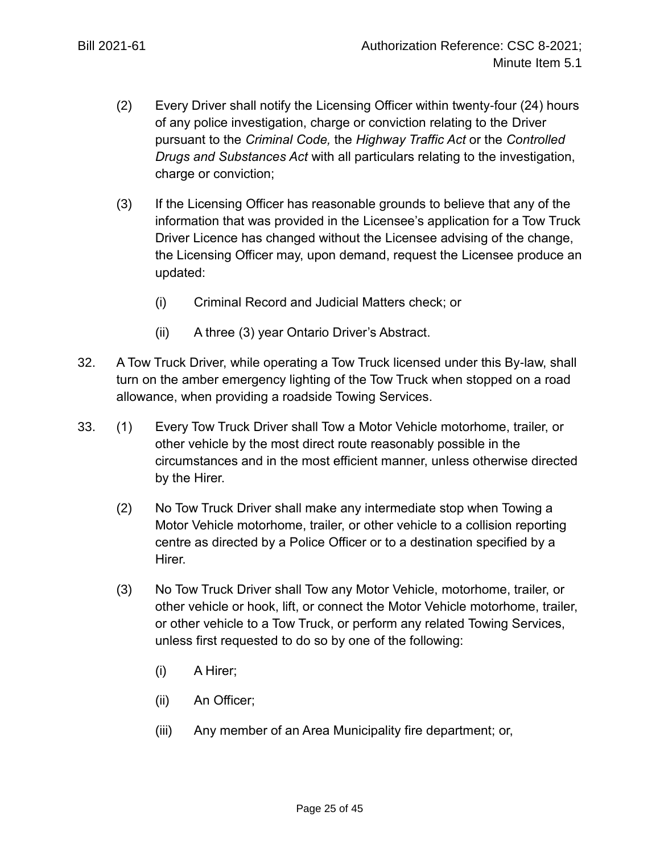- (2) Every Driver shall notify the Licensing Officer within twenty-four (24) hours of any police investigation, charge or conviction relating to the Driver pursuant to the *Criminal Code,* the *Highway Traffic Act* or the *Controlled Drugs and Substances Act* with all particulars relating to the investigation, charge or conviction;
- (3) If the Licensing Officer has reasonable grounds to believe that any of the information that was provided in the Licensee's application for a Tow Truck Driver Licence has changed without the Licensee advising of the change, the Licensing Officer may, upon demand, request the Licensee produce an updated:
	- (i) Criminal Record and Judicial Matters check; or
	- (ii) A three (3) year Ontario Driver's Abstract.
- 32. A Tow Truck Driver, while operating a Tow Truck licensed under this By-law, shall turn on the amber emergency lighting of the Tow Truck when stopped on a road allowance, when providing a roadside Towing Services.
- 33. (1) Every Tow Truck Driver shall Tow a Motor Vehicle motorhome, trailer, or other vehicle by the most direct route reasonably possible in the circumstances and in the most efficient manner, unless otherwise directed by the Hirer.
	- (2) No Tow Truck Driver shall make any intermediate stop when Towing a Motor Vehicle motorhome, trailer, or other vehicle to a collision reporting centre as directed by a Police Officer or to a destination specified by a Hirer.
	- (3) No Tow Truck Driver shall Tow any Motor Vehicle, motorhome, trailer, or other vehicle or hook, lift, or connect the Motor Vehicle motorhome, trailer, or other vehicle to a Tow Truck, or perform any related Towing Services, unless first requested to do so by one of the following:
		- (i) A Hirer;
		- (ii) An Officer;
		- (iii) Any member of an Area Municipality fire department; or,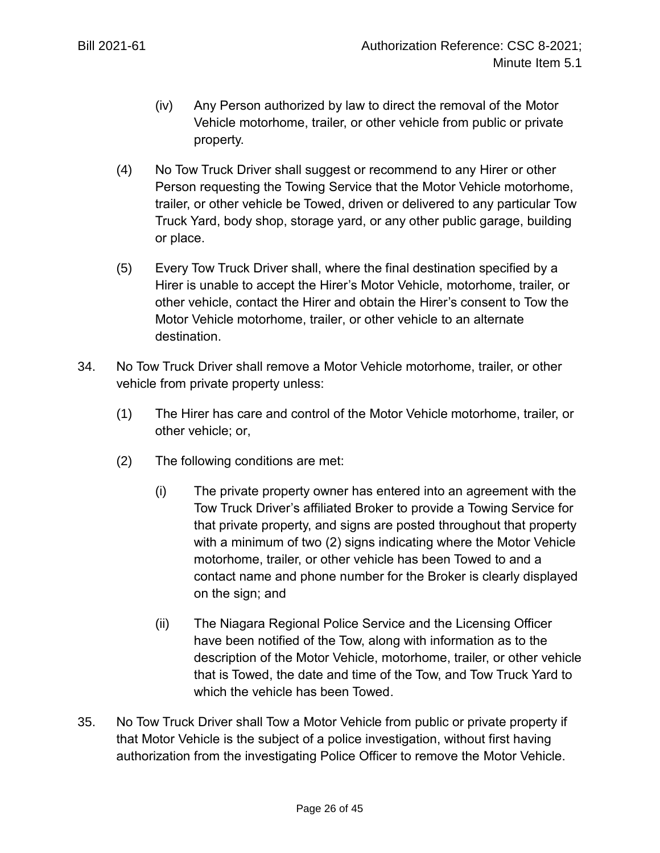- (iv) Any Person authorized by law to direct the removal of the Motor Vehicle motorhome, trailer, or other vehicle from public or private property.
- (4) No Tow Truck Driver shall suggest or recommend to any Hirer or other Person requesting the Towing Service that the Motor Vehicle motorhome, trailer, or other vehicle be Towed, driven or delivered to any particular Tow Truck Yard, body shop, storage yard, or any other public garage, building or place.
- (5) Every Tow Truck Driver shall, where the final destination specified by a Hirer is unable to accept the Hirer's Motor Vehicle, motorhome, trailer, or other vehicle, contact the Hirer and obtain the Hirer's consent to Tow the Motor Vehicle motorhome, trailer, or other vehicle to an alternate destination.
- 34. No Tow Truck Driver shall remove a Motor Vehicle motorhome, trailer, or other vehicle from private property unless:
	- (1) The Hirer has care and control of the Motor Vehicle motorhome, trailer, or other vehicle; or,
	- (2) The following conditions are met:
		- (i) The private property owner has entered into an agreement with the Tow Truck Driver's affiliated Broker to provide a Towing Service for that private property, and signs are posted throughout that property with a minimum of two (2) signs indicating where the Motor Vehicle motorhome, trailer, or other vehicle has been Towed to and a contact name and phone number for the Broker is clearly displayed on the sign; and
		- (ii) The Niagara Regional Police Service and the Licensing Officer have been notified of the Tow, along with information as to the description of the Motor Vehicle, motorhome, trailer, or other vehicle that is Towed, the date and time of the Tow, and Tow Truck Yard to which the vehicle has been Towed.
- 35. No Tow Truck Driver shall Tow a Motor Vehicle from public or private property if that Motor Vehicle is the subject of a police investigation, without first having authorization from the investigating Police Officer to remove the Motor Vehicle.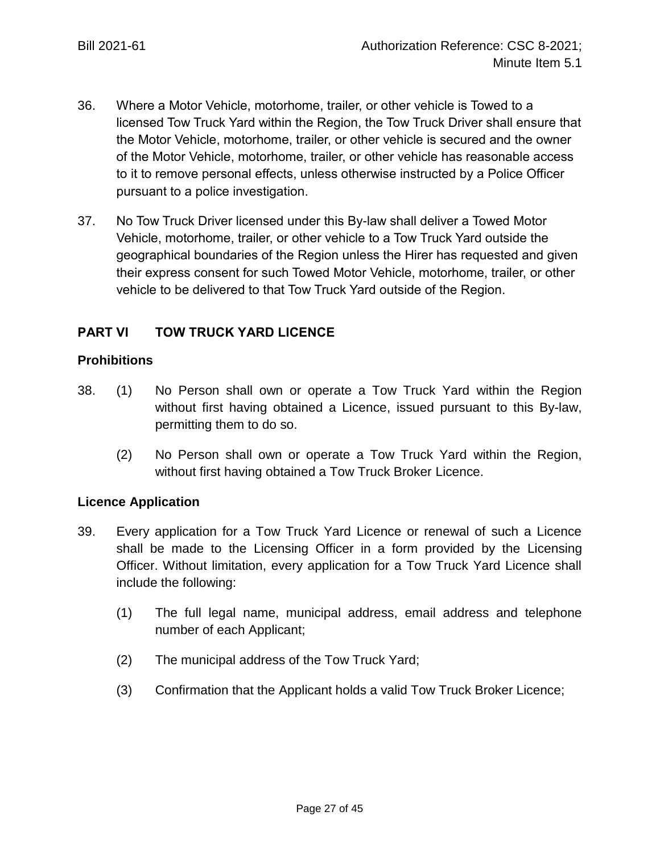- 36. Where a Motor Vehicle, motorhome, trailer, or other vehicle is Towed to a licensed Tow Truck Yard within the Region, the Tow Truck Driver shall ensure that the Motor Vehicle, motorhome, trailer, or other vehicle is secured and the owner of the Motor Vehicle, motorhome, trailer, or other vehicle has reasonable access to it to remove personal effects, unless otherwise instructed by a Police Officer pursuant to a police investigation.
- 37. No Tow Truck Driver licensed under this By-law shall deliver a Towed Motor Vehicle, motorhome, trailer, or other vehicle to a Tow Truck Yard outside the geographical boundaries of the Region unless the Hirer has requested and given their express consent for such Towed Motor Vehicle, motorhome, trailer, or other vehicle to be delivered to that Tow Truck Yard outside of the Region.

# **PART VI TOW TRUCK YARD LICENCE**

## **Prohibitions**

- 38. (1) No Person shall own or operate a Tow Truck Yard within the Region without first having obtained a Licence, issued pursuant to this By-law, permitting them to do so.
	- (2) No Person shall own or operate a Tow Truck Yard within the Region, without first having obtained a Tow Truck Broker Licence.

## **Licence Application**

- 39. Every application for a Tow Truck Yard Licence or renewal of such a Licence shall be made to the Licensing Officer in a form provided by the Licensing Officer. Without limitation, every application for a Tow Truck Yard Licence shall include the following:
	- (1) The full legal name, municipal address, email address and telephone number of each Applicant;
	- (2) The municipal address of the Tow Truck Yard;
	- (3) Confirmation that the Applicant holds a valid Tow Truck Broker Licence;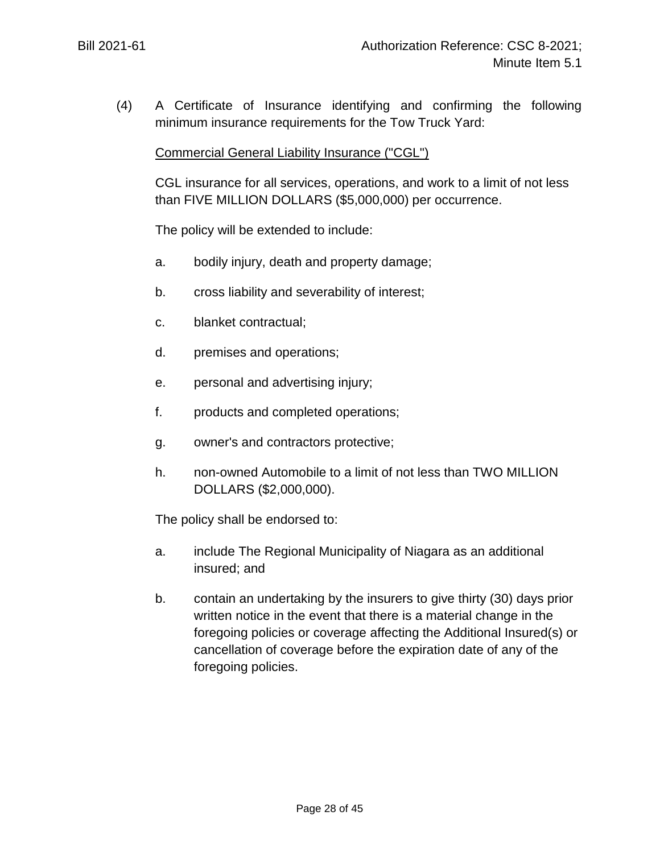(4) A Certificate of Insurance identifying and confirming the following minimum insurance requirements for the Tow Truck Yard:

### Commercial General Liability Insurance ("CGL")

CGL insurance for all services, operations, and work to a limit of not less than FIVE MILLION DOLLARS (\$5,000,000) per occurrence.

The policy will be extended to include:

- a. bodily injury, death and property damage;
- b. cross liability and severability of interest;
- c. blanket contractual;
- d. premises and operations;
- e. personal and advertising injury;
- f. products and completed operations;
- g. owner's and contractors protective;
- h. non-owned Automobile to a limit of not less than TWO MILLION DOLLARS (\$2,000,000).

The policy shall be endorsed to:

- a. include The Regional Municipality of Niagara as an additional insured; and
- b. contain an undertaking by the insurers to give thirty (30) days prior written notice in the event that there is a material change in the foregoing policies or coverage affecting the Additional Insured(s) or cancellation of coverage before the expiration date of any of the foregoing policies.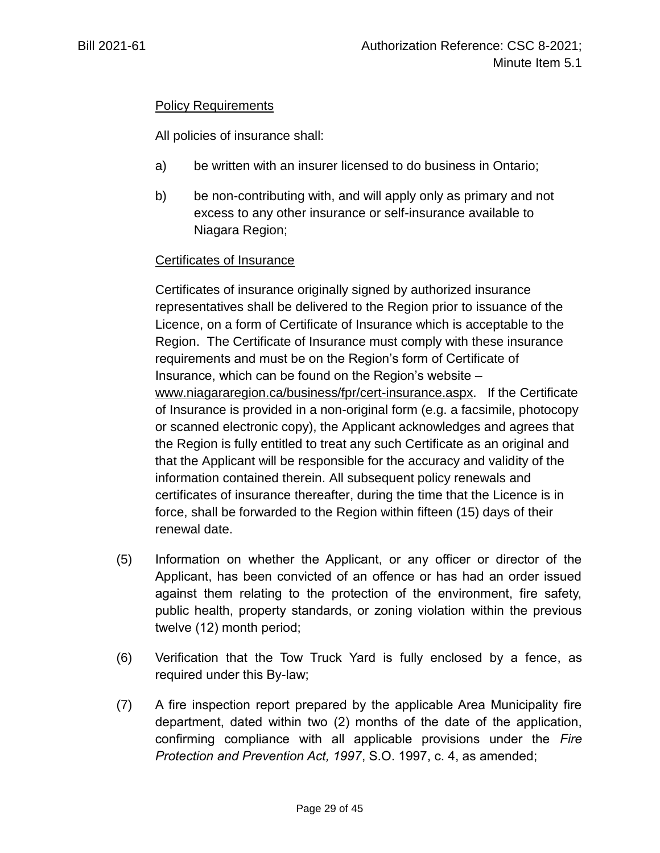# Policy Requirements

All policies of insurance shall:

- a) be written with an insurer licensed to do business in Ontario;
- b) be non-contributing with, and will apply only as primary and not excess to any other insurance or self-insurance available to Niagara Region;

## Certificates of Insurance

Certificates of insurance originally signed by authorized insurance representatives shall be delivered to the Region prior to issuance of the Licence, on a form of Certificate of Insurance which is acceptable to the Region. The Certificate of Insurance must comply with these insurance requirements and must be on the Region's form of Certificate of Insurance, which can be found on the Region's website – [www.niagararegion.ca/business/fpr/cert-insurance.aspx.](http://www.niagararegion.ca/business/fpr/cert-insurance.aspx) If the Certificate of Insurance is provided in a non-original form (e.g. a facsimile, photocopy or scanned electronic copy), the Applicant acknowledges and agrees that the Region is fully entitled to treat any such Certificate as an original and that the Applicant will be responsible for the accuracy and validity of the information contained therein. All subsequent policy renewals and certificates of insurance thereafter, during the time that the Licence is in force, shall be forwarded to the Region within fifteen (15) days of their renewal date.

- (5) Information on whether the Applicant, or any officer or director of the Applicant, has been convicted of an offence or has had an order issued against them relating to the protection of the environment, fire safety, public health, property standards, or zoning violation within the previous twelve (12) month period;
- (6) Verification that the Tow Truck Yard is fully enclosed by a fence, as required under this By-law;
- (7) A fire inspection report prepared by the applicable Area Municipality fire department, dated within two (2) months of the date of the application, confirming compliance with all applicable provisions under the *Fire Protection and Prevention Act, 1997*, S.O. 1997, c. 4, as amended;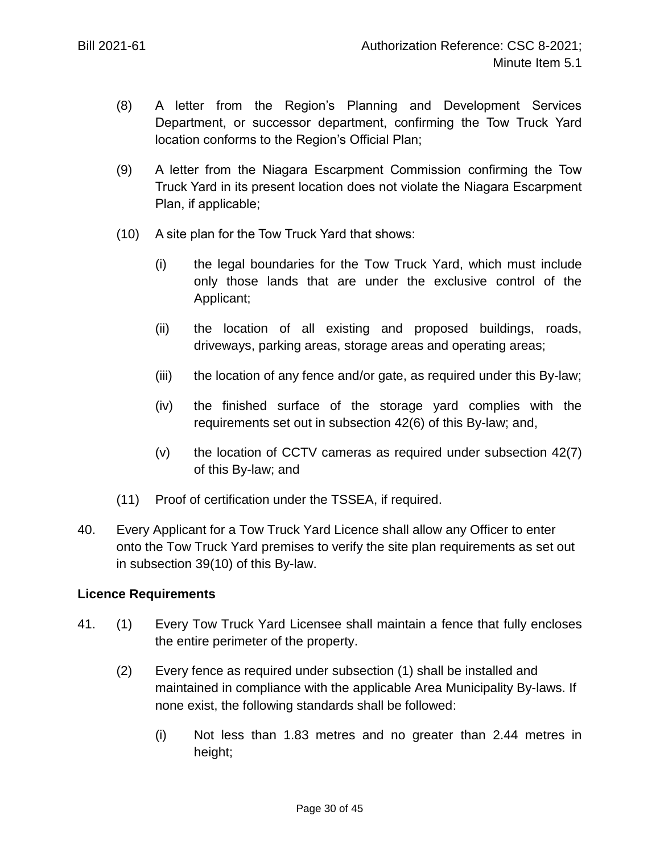- (8) A letter from the Region's Planning and Development Services Department, or successor department, confirming the Tow Truck Yard location conforms to the Region's Official Plan;
- (9) A letter from the Niagara Escarpment Commission confirming the Tow Truck Yard in its present location does not violate the Niagara Escarpment Plan, if applicable;
- <span id="page-29-0"></span>(10) A site plan for the Tow Truck Yard that shows:
	- (i) the legal boundaries for the Tow Truck Yard, which must include only those lands that are under the exclusive control of the Applicant;
	- (ii) the location of all existing and proposed buildings, roads, driveways, parking areas, storage areas and operating areas;
	- (iii) the location of any fence and/or gate, as required under this By-law;
	- (iv) the finished surface of the storage yard complies with the requirements set out in subsection 4[2\(6\)](#page-31-0) of this By-law; and,
	- (v) the location of CCTV cameras as required under subsection 4[2\(7\)](#page-31-1) of this By-law; and
- (11) Proof of certification under the TSSEA, if required.
- 40. Every Applicant for a Tow Truck Yard Licence shall allow any Officer to enter onto the Tow Truck Yard premises to verify the site plan requirements as set out in subsection 3[9\(10\)](#page-29-0) of this By-law.

## **Licence Requirements**

- 41. (1) Every Tow Truck Yard Licensee shall maintain a fence that fully encloses the entire perimeter of the property.
	- (2) Every fence as required under subsection (1) shall be installed and maintained in compliance with the applicable Area Municipality By-laws. If none exist, the following standards shall be followed:
		- (i) Not less than 1.83 metres and no greater than 2.44 metres in height;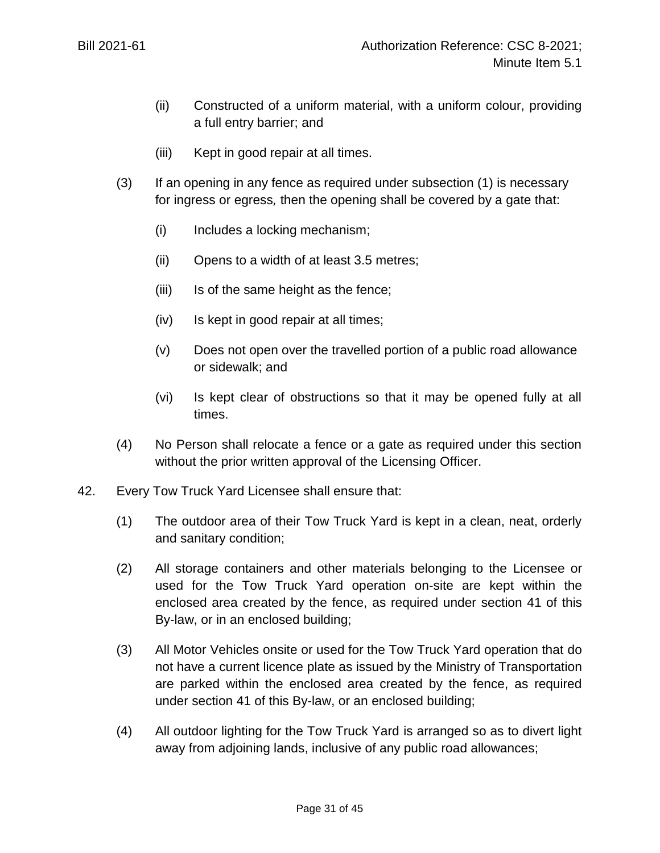- (ii) Constructed of a uniform material, with a uniform colour, providing a full entry barrier; and
- (iii) Kept in good repair at all times.
- (3) If an opening in any fence as required under subsection (1) is necessary for ingress or egress*,* then the opening shall be covered by a gate that:
	- (i) Includes a locking mechanism;
	- (ii) Opens to a width of at least 3.5 metres;
	- (iii) Is of the same height as the fence;
	- (iv) Is kept in good repair at all times;
	- (v) Does not open over the travelled portion of a public road allowance or sidewalk; and
	- (vi) Is kept clear of obstructions so that it may be opened fully at all times.
- (4) No Person shall relocate a fence or a gate as required under this section without the prior written approval of the Licensing Officer.
- 42. Every Tow Truck Yard Licensee shall ensure that:
	- (1) The outdoor area of their Tow Truck Yard is kept in a clean, neat, orderly and sanitary condition;
	- (2) All storage containers and other materials belonging to the Licensee or used for the Tow Truck Yard operation on-site are kept within the enclosed area created by the fence, as required under section 41 of this By-law, or in an enclosed building;
	- (3) All Motor Vehicles onsite or used for the Tow Truck Yard operation that do not have a current licence plate as issued by the Ministry of Transportation are parked within the enclosed area created by the fence, as required under section 41 of this By-law, or an enclosed building;
	- (4) All outdoor lighting for the Tow Truck Yard is arranged so as to divert light away from adjoining lands, inclusive of any public road allowances;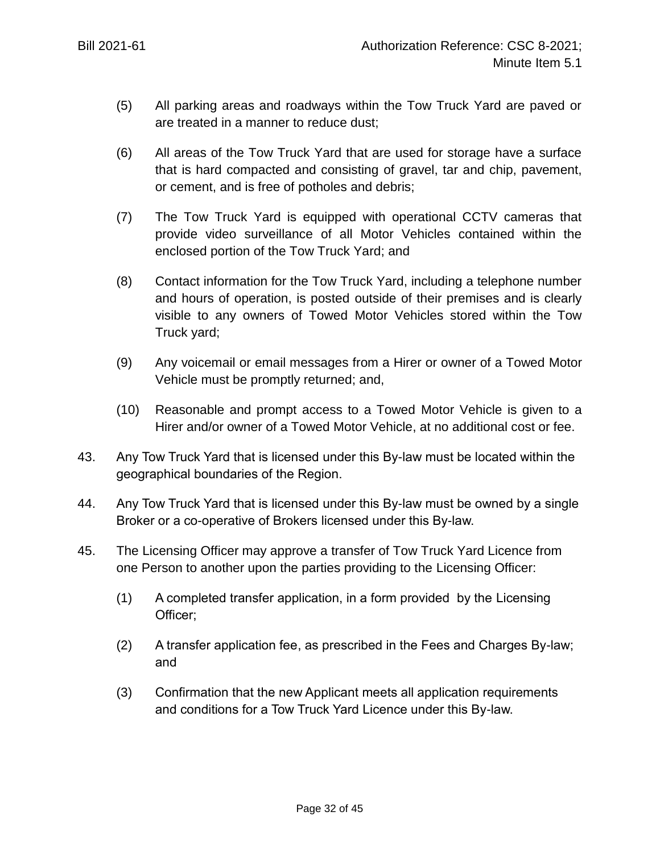- (5) All parking areas and roadways within the Tow Truck Yard are paved or are treated in a manner to reduce dust;
- <span id="page-31-0"></span>(6) All areas of the Tow Truck Yard that are used for storage have a surface that is hard compacted and consisting of gravel, tar and chip, pavement, or cement, and is free of potholes and debris;
- <span id="page-31-1"></span>(7) The Tow Truck Yard is equipped with operational CCTV cameras that provide video surveillance of all Motor Vehicles contained within the enclosed portion of the Tow Truck Yard; and
- (8) Contact information for the Tow Truck Yard, including a telephone number and hours of operation, is posted outside of their premises and is clearly visible to any owners of Towed Motor Vehicles stored within the Tow Truck yard;
- (9) Any voicemail or email messages from a Hirer or owner of a Towed Motor Vehicle must be promptly returned; and,
- (10) Reasonable and prompt access to a Towed Motor Vehicle is given to a Hirer and/or owner of a Towed Motor Vehicle, at no additional cost or fee.
- 43. Any Tow Truck Yard that is licensed under this By-law must be located within the geographical boundaries of the Region.
- 44. Any Tow Truck Yard that is licensed under this By-law must be owned by a single Broker or a co-operative of Brokers licensed under this By-law.
- 45. The Licensing Officer may approve a transfer of Tow Truck Yard Licence from one Person to another upon the parties providing to the Licensing Officer:
	- (1) A completed transfer application, in a form provided by the Licensing Officer;
	- (2) A transfer application fee, as prescribed in the Fees and Charges By-law; and
	- (3) Confirmation that the new Applicant meets all application requirements and conditions for a Tow Truck Yard Licence under this By-law.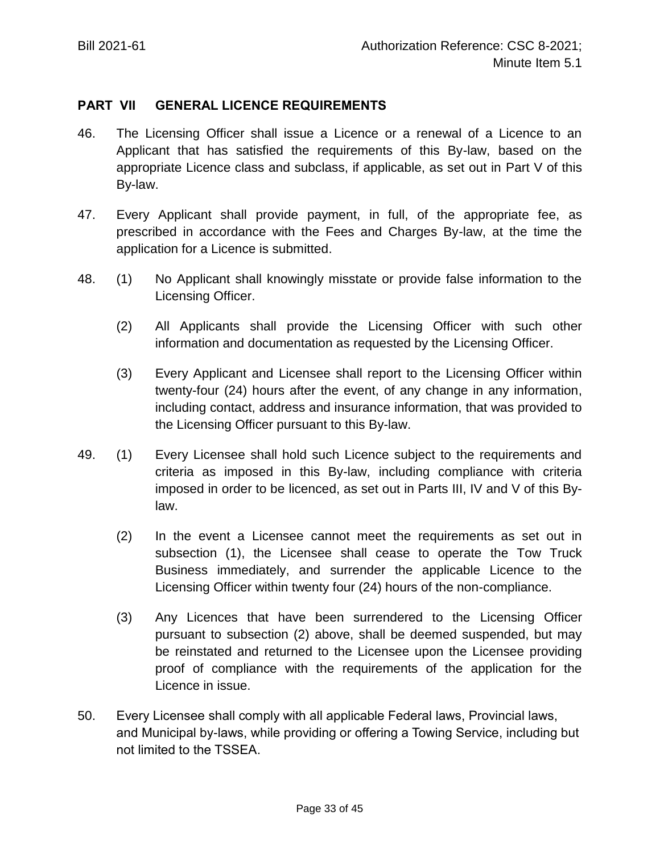## **PART VII GENERAL LICENCE REQUIREMENTS**

- 46. The Licensing Officer shall issue a Licence or a renewal of a Licence to an Applicant that has satisfied the requirements of this By-law, based on the appropriate Licence class and subclass, if applicable, as set out in Part V of this By-law.
- 47. Every Applicant shall provide payment, in full, of the appropriate fee, as prescribed in accordance with the Fees and Charges By-law, at the time the application for a Licence is submitted.
- 48. (1) No Applicant shall knowingly misstate or provide false information to the Licensing Officer.
	- (2) All Applicants shall provide the Licensing Officer with such other information and documentation as requested by the Licensing Officer.
	- (3) Every Applicant and Licensee shall report to the Licensing Officer within twenty-four (24) hours after the event, of any change in any information, including contact, address and insurance information, that was provided to the Licensing Officer pursuant to this By-law.
- 49. (1) Every Licensee shall hold such Licence subject to the requirements and criteria as imposed in this By-law, including compliance with criteria imposed in order to be licenced, as set out in Parts III, IV and V of this Bylaw.
	- (2) In the event a Licensee cannot meet the requirements as set out in subsection (1), the Licensee shall cease to operate the Tow Truck Business immediately, and surrender the applicable Licence to the Licensing Officer within twenty four (24) hours of the non-compliance.
	- (3) Any Licences that have been surrendered to the Licensing Officer pursuant to subsection (2) above, shall be deemed suspended, but may be reinstated and returned to the Licensee upon the Licensee providing proof of compliance with the requirements of the application for the Licence in issue.
- 50. Every Licensee shall comply with all applicable Federal laws, Provincial laws, and Municipal by-laws, while providing or offering a Towing Service, including but not limited to the TSSEA.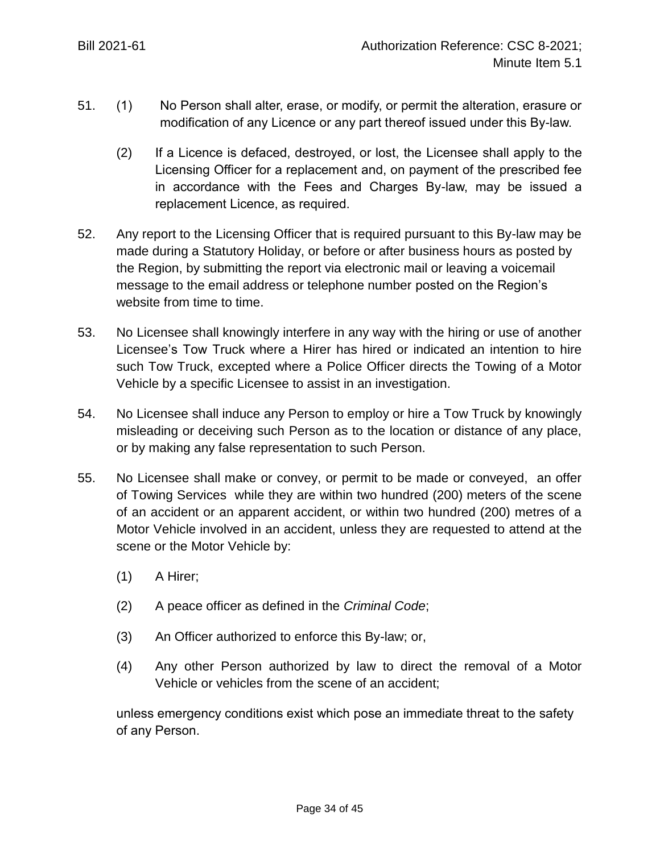- 51. (1) No Person shall alter, erase, or modify, or permit the alteration, erasure or modification of any Licence or any part thereof issued under this By-law.
	- (2) If a Licence is defaced, destroyed, or lost, the Licensee shall apply to the Licensing Officer for a replacement and, on payment of the prescribed fee in accordance with the Fees and Charges By-law, may be issued a replacement Licence, as required.
- 52. Any report to the Licensing Officer that is required pursuant to this By-law may be made during a Statutory Holiday, or before or after business hours as posted by the Region, by submitting the report via electronic mail or leaving a voicemail message to the email address or telephone number posted on the Region's website from time to time.
- 53. No Licensee shall knowingly interfere in any way with the hiring or use of another Licensee's Tow Truck where a Hirer has hired or indicated an intention to hire such Tow Truck, excepted where a Police Officer directs the Towing of a Motor Vehicle by a specific Licensee to assist in an investigation.
- 54. No Licensee shall induce any Person to employ or hire a Tow Truck by knowingly misleading or deceiving such Person as to the location or distance of any place, or by making any false representation to such Person.
- 55. No Licensee shall make or convey, or permit to be made or conveyed, an offer of Towing Services while they are within two hundred (200) meters of the scene of an accident or an apparent accident, or within two hundred (200) metres of a Motor Vehicle involved in an accident, unless they are requested to attend at the scene or the Motor Vehicle by:
	- (1) A Hirer;
	- (2) A peace officer as defined in the *Criminal Code*;
	- (3) An Officer authorized to enforce this By-law; or,
	- (4) Any other Person authorized by law to direct the removal of a Motor Vehicle or vehicles from the scene of an accident;

unless emergency conditions exist which pose an immediate threat to the safety of any Person.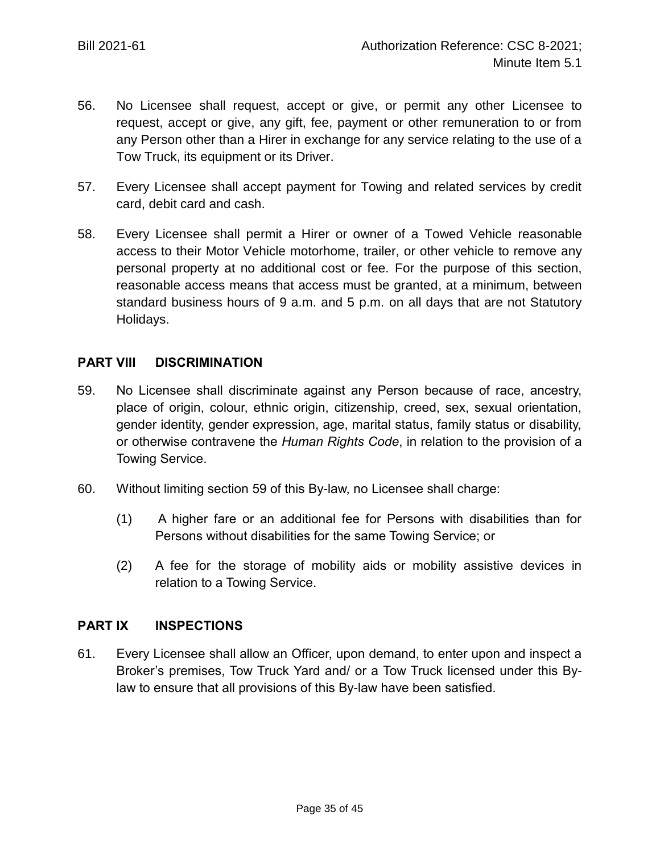- 56. No Licensee shall request, accept or give, or permit any other Licensee to request, accept or give, any gift, fee, payment or other remuneration to or from any Person other than a Hirer in exchange for any service relating to the use of a Tow Truck, its equipment or its Driver.
- 57. Every Licensee shall accept payment for Towing and related services by credit card, debit card and cash.
- 58. Every Licensee shall permit a Hirer or owner of a Towed Vehicle reasonable access to their Motor Vehicle motorhome, trailer, or other vehicle to remove any personal property at no additional cost or fee. For the purpose of this section, reasonable access means that access must be granted, at a minimum, between standard business hours of 9 a.m. and 5 p.m. on all days that are not Statutory Holidays.

### **PART VIII DISCRIMINATION**

- 59. No Licensee shall discriminate against any Person because of race, ancestry, place of origin, colour, ethnic origin, citizenship, creed, sex, sexual orientation, gender identity, gender expression, age, marital status, family status or disability, or otherwise contravene the *Human Rights Code*, in relation to the provision of a Towing Service.
- 60. Without limiting section 59 of this By-law, no Licensee shall charge:
	- (1) A higher fare or an additional fee for Persons with disabilities than for Persons without disabilities for the same Towing Service; or
	- (2) A fee for the storage of mobility aids or mobility assistive devices in relation to a Towing Service.

#### **PART IX INSPECTIONS**

61. Every Licensee shall allow an Officer, upon demand, to enter upon and inspect a Broker's premises, Tow Truck Yard and/ or a Tow Truck licensed under this Bylaw to ensure that all provisions of this By-law have been satisfied.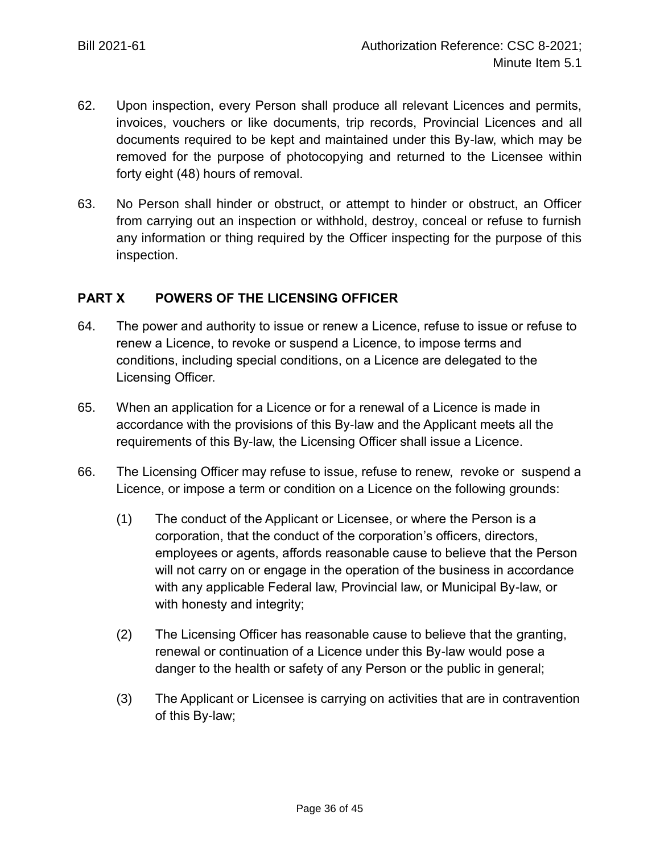- 62. Upon inspection, every Person shall produce all relevant Licences and permits, invoices, vouchers or like documents, trip records, Provincial Licences and all documents required to be kept and maintained under this By-law, which may be removed for the purpose of photocopying and returned to the Licensee within forty eight (48) hours of removal.
- 63. No Person shall hinder or obstruct, or attempt to hinder or obstruct, an Officer from carrying out an inspection or withhold, destroy, conceal or refuse to furnish any information or thing required by the Officer inspecting for the purpose of this inspection.

## **PART X POWERS OF THE LICENSING OFFICER**

- 64. The power and authority to issue or renew a Licence, refuse to issue or refuse to renew a Licence, to revoke or suspend a Licence, to impose terms and conditions, including special conditions, on a Licence are delegated to the Licensing Officer.
- 65. When an application for a Licence or for a renewal of a Licence is made in accordance with the provisions of this By-law and the Applicant meets all the requirements of this By-law, the Licensing Officer shall issue a Licence.
- 66. The Licensing Officer may refuse to issue, refuse to renew, revoke or suspend a Licence, or impose a term or condition on a Licence on the following grounds:
	- (1) The conduct of the Applicant or Licensee, or where the Person is a corporation, that the conduct of the corporation's officers, directors, employees or agents, affords reasonable cause to believe that the Person will not carry on or engage in the operation of the business in accordance with any applicable Federal law, Provincial law, or Municipal By-law, or with honesty and integrity;
	- (2) The Licensing Officer has reasonable cause to believe that the granting, renewal or continuation of a Licence under this By-law would pose a danger to the health or safety of any Person or the public in general;
	- (3) The Applicant or Licensee is carrying on activities that are in contravention of this By-law;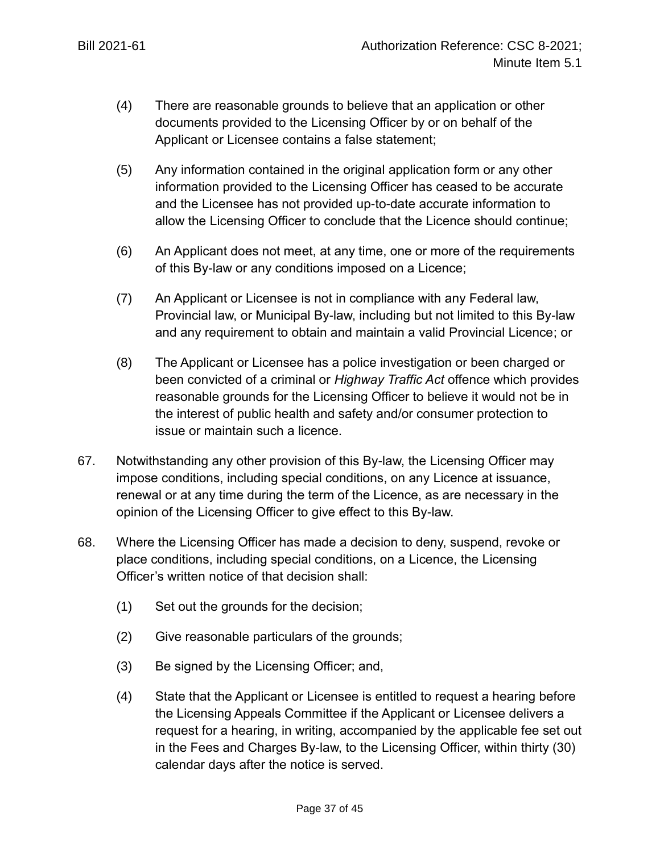- (4) There are reasonable grounds to believe that an application or other documents provided to the Licensing Officer by or on behalf of the Applicant or Licensee contains a false statement;
- (5) Any information contained in the original application form or any other information provided to the Licensing Officer has ceased to be accurate and the Licensee has not provided up-to-date accurate information to allow the Licensing Officer to conclude that the Licence should continue;
- (6) An Applicant does not meet, at any time, one or more of the requirements of this By-law or any conditions imposed on a Licence;
- (7) An Applicant or Licensee is not in compliance with any Federal law, Provincial law, or Municipal By-law, including but not limited to this By-law and any requirement to obtain and maintain a valid Provincial Licence; or
- (8) The Applicant or Licensee has a police investigation or been charged or been convicted of a criminal or *Highway Traffic Act* offence which provides reasonable grounds for the Licensing Officer to believe it would not be in the interest of public health and safety and/or consumer protection to issue or maintain such a licence.
- 67. Notwithstanding any other provision of this By-law, the Licensing Officer may impose conditions, including special conditions, on any Licence at issuance, renewal or at any time during the term of the Licence, as are necessary in the opinion of the Licensing Officer to give effect to this By-law.
- <span id="page-36-0"></span>68. Where the Licensing Officer has made a decision to deny, suspend, revoke or place conditions, including special conditions, on a Licence, the Licensing Officer's written notice of that decision shall:
	- (1) Set out the grounds for the decision;
	- (2) Give reasonable particulars of the grounds;
	- (3) Be signed by the Licensing Officer; and,
	- (4) State that the Applicant or Licensee is entitled to request a hearing before the Licensing Appeals Committee if the Applicant or Licensee delivers a request for a hearing, in writing, accompanied by the applicable fee set out in the Fees and Charges By-law, to the Licensing Officer, within thirty (30) calendar days after the notice is served.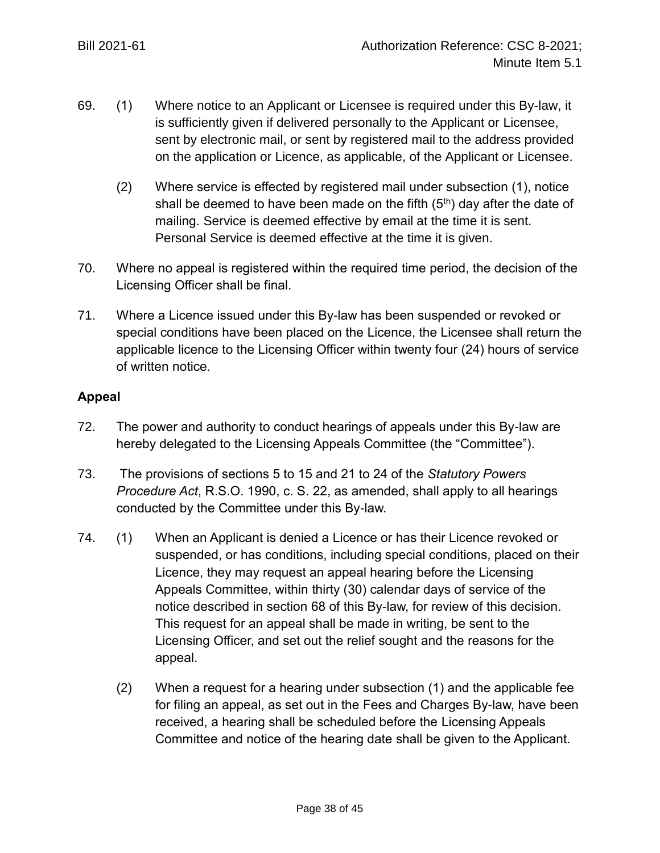- 69. (1) Where notice to an Applicant or Licensee is required under this By-law, it is sufficiently given if delivered personally to the Applicant or Licensee, sent by electronic mail, or sent by registered mail to the address provided on the application or Licence, as applicable, of the Applicant or Licensee.
	- (2) Where service is effected by registered mail under subsection (1), notice shall be deemed to have been made on the fifth  $(5<sup>th</sup>)$  day after the date of mailing. Service is deemed effective by email at the time it is sent. Personal Service is deemed effective at the time it is given.
- 70. Where no appeal is registered within the required time period, the decision of the Licensing Officer shall be final.
- 71. Where a Licence issued under this By-law has been suspended or revoked or special conditions have been placed on the Licence, the Licensee shall return the applicable licence to the Licensing Officer within twenty four (24) hours of service of written notice.

# **Appeal**

- 72. The power and authority to conduct hearings of appeals under this By-law are hereby delegated to the Licensing Appeals Committee (the "Committee").
- 73. The provisions of sections 5 to 15 and 21 to 24 of the *Statutory Powers Procedure Act*, R.S.O. 1990, c. S. 22, as amended, shall apply to all hearings conducted by the Committee under this By-law.
- 74. (1) When an Applicant is denied a Licence or has their Licence revoked or suspended, or has conditions, including special conditions, placed on their Licence, they may request an appeal hearing before the Licensing Appeals Committee, within thirty (30) calendar days of service of the notice described in section [68](#page-36-0) of this By-law, for review of this decision. This request for an appeal shall be made in writing, be sent to the Licensing Officer, and set out the relief sought and the reasons for the appeal.
	- (2) When a request for a hearing under subsection (1) and the applicable fee for filing an appeal, as set out in the Fees and Charges By-law, have been received, a hearing shall be scheduled before the Licensing Appeals Committee and notice of the hearing date shall be given to the Applicant.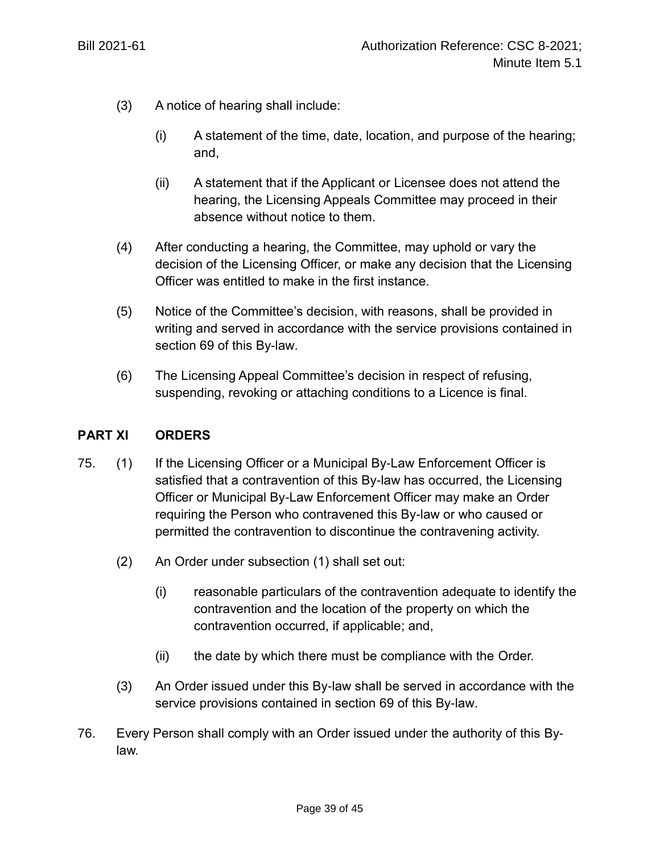- (3) A notice of hearing shall include:
	- (i) A statement of the time, date, location, and purpose of the hearing; and,
	- (ii) A statement that if the Applicant or Licensee does not attend the hearing, the Licensing Appeals Committee may proceed in their absence without notice to them.
- (4) After conducting a hearing, the Committee, may uphold or vary the decision of the Licensing Officer, or make any decision that the Licensing Officer was entitled to make in the first instance.
- (5) Notice of the Committee's decision, with reasons, shall be provided in writing and served in accordance with the service provisions contained in section 69 of this By-law.
- (6) The Licensing Appeal Committee's decision in respect of refusing, suspending, revoking or attaching conditions to a Licence is final.

## **PART XI ORDERS**

- 75. (1) If the Licensing Officer or a Municipal By-Law Enforcement Officer is satisfied that a contravention of this By-law has occurred, the Licensing Officer or Municipal By-Law Enforcement Officer may make an Order requiring the Person who contravened this By-law or who caused or permitted the contravention to discontinue the contravening activity.
	- (2) An Order under subsection (1) shall set out:
		- (i) reasonable particulars of the contravention adequate to identify the contravention and the location of the property on which the contravention occurred, if applicable; and,
		- (ii) the date by which there must be compliance with the Order.
	- (3) An Order issued under this By-law shall be served in accordance with the service provisions contained in section 69 of this By-law.
- 76. Every Person shall comply with an Order issued under the authority of this Bylaw.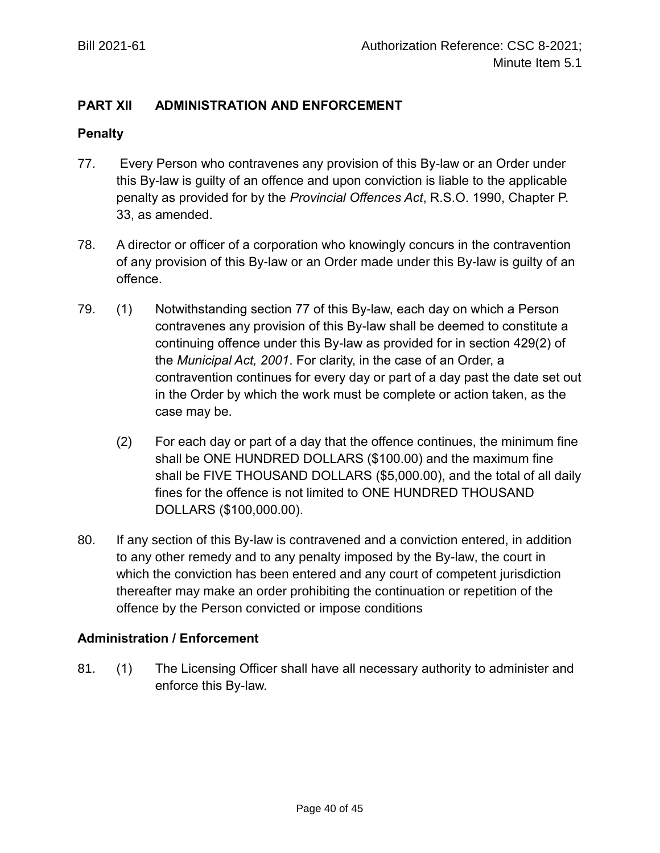# **PART XII ADMINISTRATION AND ENFORCEMENT**

### **Penalty**

- 77. Every Person who contravenes any provision of this By-law or an Order under this By-law is guilty of an offence and upon conviction is liable to the applicable penalty as provided for by the *Provincial Offences Act*, R.S.O. 1990, Chapter P. 33, as amended.
- 78. A director or officer of a corporation who knowingly concurs in the contravention of any provision of this By-law or an Order made under this By-law is guilty of an offence.
- 79. (1) Notwithstanding section 77 of this By-law, each day on which a Person contravenes any provision of this By-law shall be deemed to constitute a continuing offence under this By-law as provided for in section 429(2) of the *Municipal Act, 2001*. For clarity, in the case of an Order, a contravention continues for every day or part of a day past the date set out in the Order by which the work must be complete or action taken, as the case may be.
	- (2) For each day or part of a day that the offence continues, the minimum fine shall be ONE HUNDRED DOLLARS (\$100.00) and the maximum fine shall be FIVE THOUSAND DOLLARS (\$5,000.00), and the total of all daily fines for the offence is not limited to ONE HUNDRED THOUSAND DOLLARS (\$100,000.00).
- 80. If any section of this By-law is contravened and a conviction entered, in addition to any other remedy and to any penalty imposed by the By-law, the court in which the conviction has been entered and any court of competent jurisdiction thereafter may make an order prohibiting the continuation or repetition of the offence by the Person convicted or impose conditions

## **Administration / Enforcement**

81. (1) The Licensing Officer shall have all necessary authority to administer and enforce this By-law.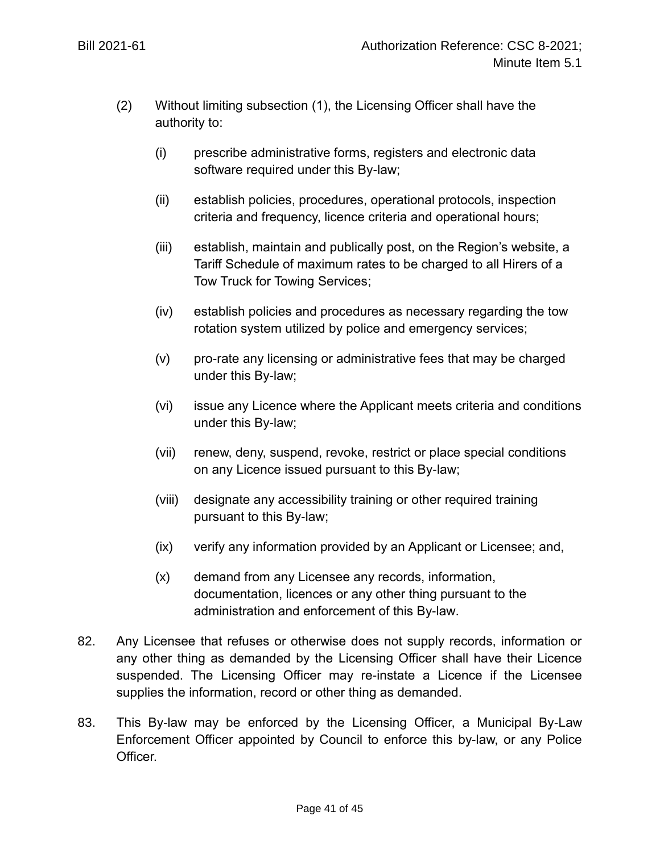- (2) Without limiting subsection (1), the Licensing Officer shall have the authority to:
	- (i) prescribe administrative forms, registers and electronic data software required under this By-law;
	- (ii) establish policies, procedures, operational protocols, inspection criteria and frequency, licence criteria and operational hours;
	- (iii) establish, maintain and publically post, on the Region's website, a Tariff Schedule of maximum rates to be charged to all Hirers of a Tow Truck for Towing Services;
	- (iv) establish policies and procedures as necessary regarding the tow rotation system utilized by police and emergency services;
	- (v) pro-rate any licensing or administrative fees that may be charged under this By-law;
	- (vi) issue any Licence where the Applicant meets criteria and conditions under this By-law;
	- (vii) renew, deny, suspend, revoke, restrict or place special conditions on any Licence issued pursuant to this By-law;
	- (viii) designate any accessibility training or other required training pursuant to this By-law;
	- (ix) verify any information provided by an Applicant or Licensee; and,
	- (x) demand from any Licensee any records, information, documentation, licences or any other thing pursuant to the administration and enforcement of this By-law.
- 82. Any Licensee that refuses or otherwise does not supply records, information or any other thing as demanded by the Licensing Officer shall have their Licence suspended. The Licensing Officer may re-instate a Licence if the Licensee supplies the information, record or other thing as demanded.
- 83. This By-law may be enforced by the Licensing Officer, a Municipal By-Law Enforcement Officer appointed by Council to enforce this by-law, or any Police Officer.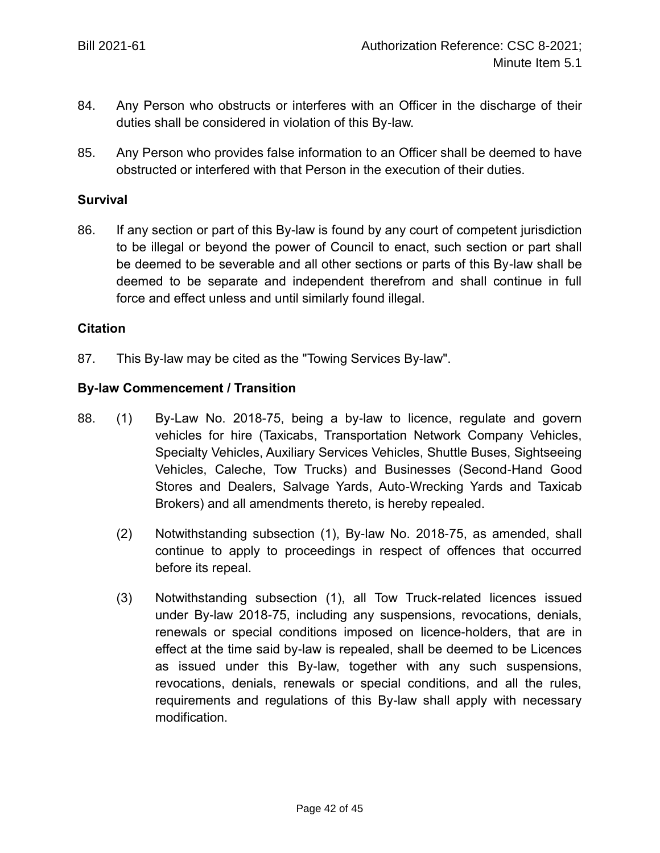- 84. Any Person who obstructs or interferes with an Officer in the discharge of their duties shall be considered in violation of this By-law.
- 85. Any Person who provides false information to an Officer shall be deemed to have obstructed or interfered with that Person in the execution of their duties.

### **Survival**

86. If any section or part of this By-law is found by any court of competent jurisdiction to be illegal or beyond the power of Council to enact, such section or part shall be deemed to be severable and all other sections or parts of this By-law shall be deemed to be separate and independent therefrom and shall continue in full force and effect unless and until similarly found illegal.

### **Citation**

87. This By-law may be cited as the "Towing Services By-law".

### **By-law Commencement / Transition**

- 88. (1) By-Law No. 2018-75, being a by-law to licence, regulate and govern vehicles for hire (Taxicabs, Transportation Network Company Vehicles, Specialty Vehicles, Auxiliary Services Vehicles, Shuttle Buses, Sightseeing Vehicles, Caleche, Tow Trucks) and Businesses (Second-Hand Good Stores and Dealers, Salvage Yards, Auto-Wrecking Yards and Taxicab Brokers) and all amendments thereto, is hereby repealed.
	- (2) Notwithstanding subsection (1), By-law No. 2018-75, as amended, shall continue to apply to proceedings in respect of offences that occurred before its repeal.
	- (3) Notwithstanding subsection (1), all Tow Truck-related licences issued under By-law 2018-75, including any suspensions, revocations, denials, renewals or special conditions imposed on licence-holders, that are in effect at the time said by-law is repealed, shall be deemed to be Licences as issued under this By-law, together with any such suspensions, revocations, denials, renewals or special conditions, and all the rules, requirements and regulations of this By-law shall apply with necessary modification.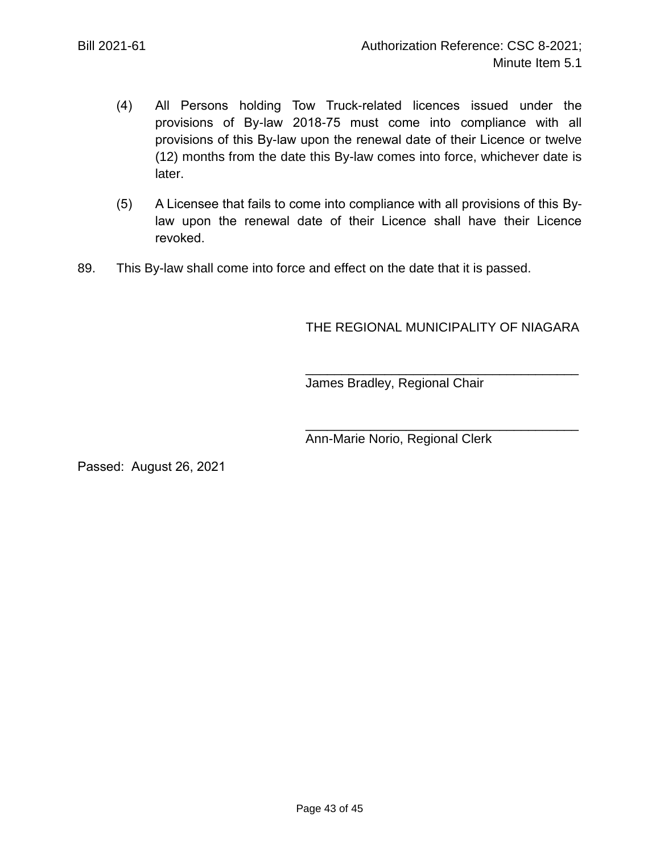- (4) All Persons holding Tow Truck-related licences issued under the provisions of By-law 2018-75 must come into compliance with all provisions of this By-law upon the renewal date of their Licence or twelve (12) months from the date this By-law comes into force, whichever date is later.
- (5) A Licensee that fails to come into compliance with all provisions of this Bylaw upon the renewal date of their Licence shall have their Licence revoked.
- 89. This By-law shall come into force and effect on the date that it is passed.

# THE REGIONAL MUNICIPALITY OF NIAGARA

\_\_\_\_\_\_\_\_\_\_\_\_\_\_\_\_\_\_\_\_\_\_\_\_\_\_\_\_\_\_\_\_\_\_\_\_\_\_

\_\_\_\_\_\_\_\_\_\_\_\_\_\_\_\_\_\_\_\_\_\_\_\_\_\_\_\_\_\_\_\_\_\_\_\_\_\_

James Bradley, Regional Chair

Ann-Marie Norio, Regional Clerk

Passed: August 26, 2021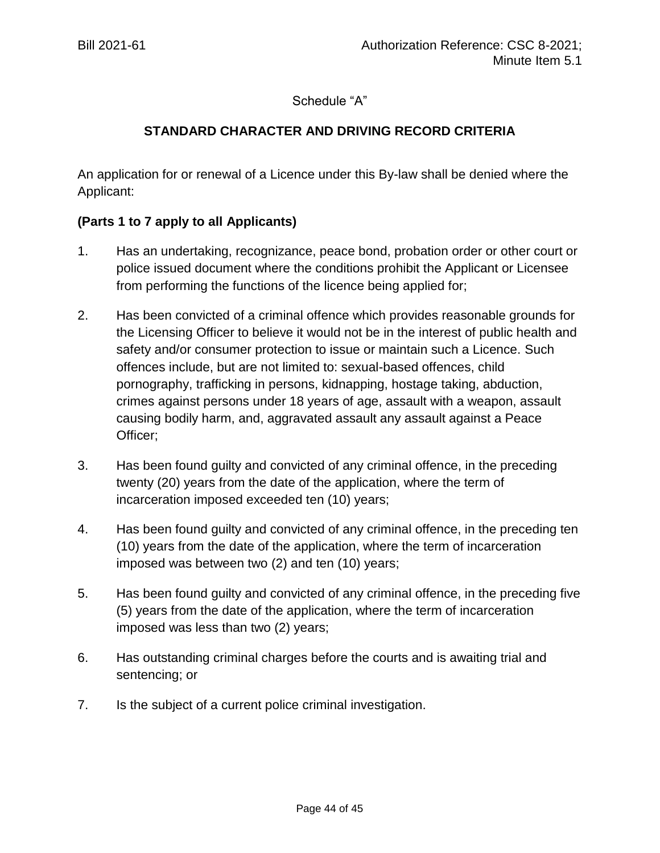## Schedule "A"

# **STANDARD CHARACTER AND DRIVING RECORD CRITERIA**

An application for or renewal of a Licence under this By-law shall be denied where the Applicant:

## **(Parts 1 to 7 apply to all Applicants)**

- 1. Has an undertaking, recognizance, peace bond, probation order or other court or police issued document where the conditions prohibit the Applicant or Licensee from performing the functions of the licence being applied for;
- 2. Has been convicted of a criminal offence which provides reasonable grounds for the Licensing Officer to believe it would not be in the interest of public health and safety and/or consumer protection to issue or maintain such a Licence. Such offences include, but are not limited to: sexual-based offences, child pornography, trafficking in persons, kidnapping, hostage taking, abduction, crimes against persons under 18 years of age, assault with a weapon, assault causing bodily harm, and, aggravated assault any assault against a Peace Officer;
- 3. Has been found guilty and convicted of any criminal offence, in the preceding twenty (20) years from the date of the application, where the term of incarceration imposed exceeded ten (10) years;
- 4. Has been found guilty and convicted of any criminal offence, in the preceding ten (10) years from the date of the application, where the term of incarceration imposed was between two (2) and ten (10) years;
- 5. Has been found guilty and convicted of any criminal offence, in the preceding five (5) years from the date of the application, where the term of incarceration imposed was less than two (2) years;
- 6. Has outstanding criminal charges before the courts and is awaiting trial and sentencing; or
- 7. Is the subject of a current police criminal investigation.